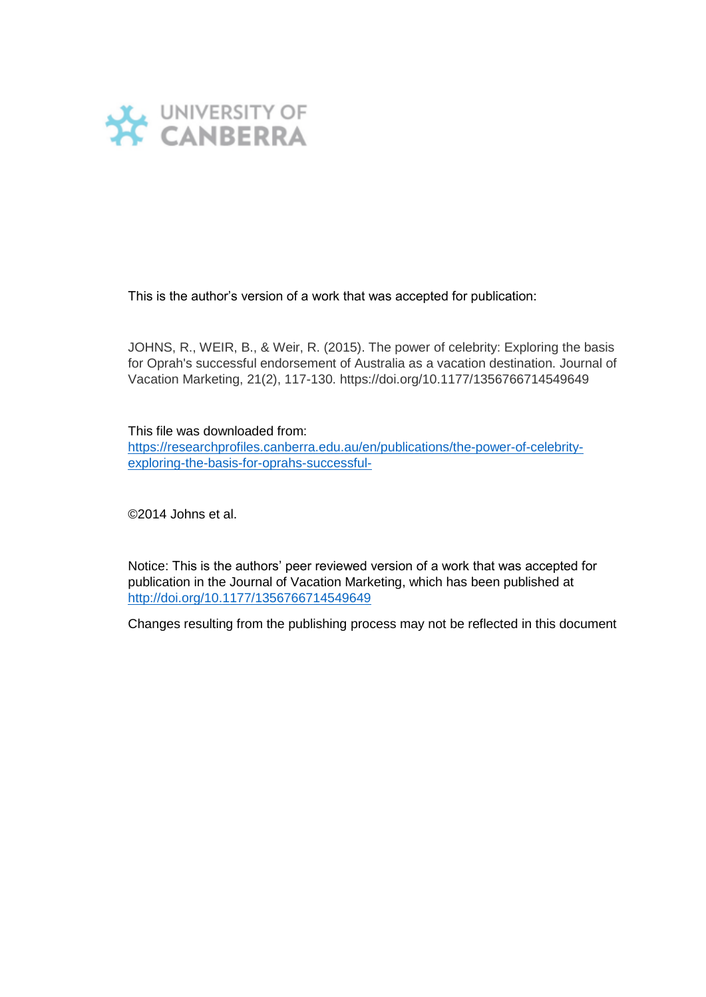

This is the author's version of a work that was accepted for publication:

JOHNS, R., WEIR, B., & Weir, R. (2015). The power of celebrity: Exploring the basis for Oprah's successful endorsement of Australia as a vacation destination. Journal of Vacation Marketing, 21(2), 117-130. https://doi.org/10.1177/1356766714549649

### This file was downloaded from:

[https://researchprofiles.canberra.edu.au/en/publications/the-power-of-celebrity](https://researchprofiles.canberra.edu.au/en/publications/the-power-of-celebrity-exploring-the-basis-for-oprahs-successful-)[exploring-the-basis-for-oprahs-successful-](https://researchprofiles.canberra.edu.au/en/publications/the-power-of-celebrity-exploring-the-basis-for-oprahs-successful-)

©2014 Johns et al.

Notice: This is the authors' peer reviewed version of a work that was accepted for publication in the Journal of Vacation Marketing, which has been published at <http://doi.org/10.1177/1356766714549649>

Changes resulting from the publishing process may not be reflected in this document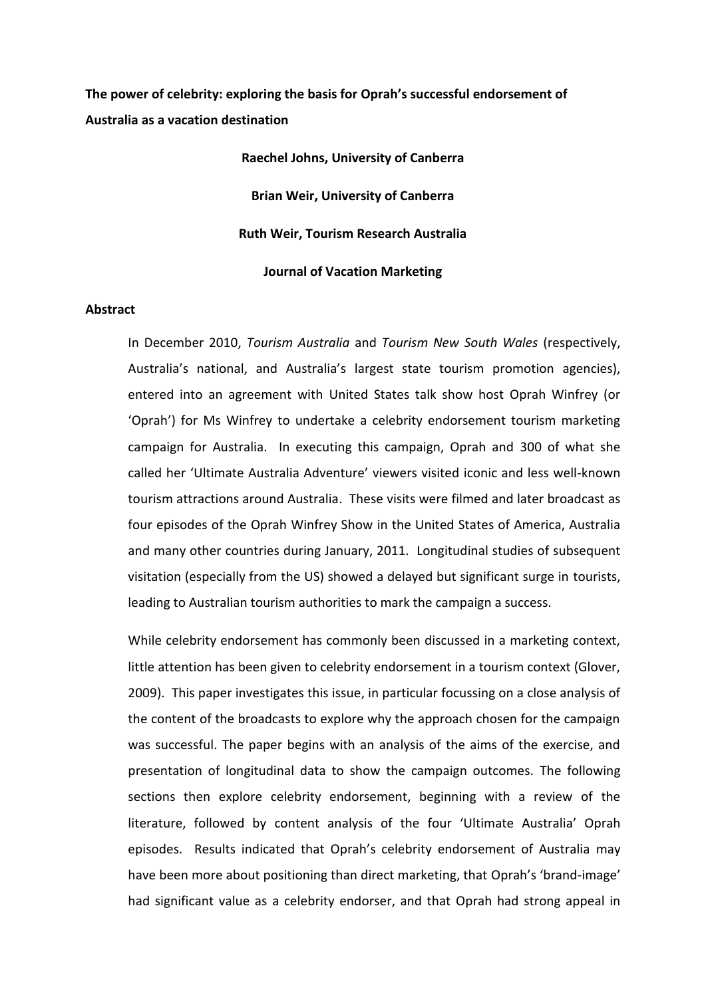**The power of celebrity: exploring the basis for Oprah's successful endorsement of Australia as a vacation destination**

> **Raechel Johns, University of Canberra Brian Weir, University of Canberra Ruth Weir, Tourism Research Australia Journal of Vacation Marketing**

### **Abstract**

In December 2010, *Tourism Australia* and *Tourism New South Wales* (respectively, Australia's national, and Australia's largest state tourism promotion agencies), entered into an agreement with United States talk show host Oprah Winfrey (or 'Oprah') for Ms Winfrey to undertake a celebrity endorsement tourism marketing campaign for Australia. In executing this campaign, Oprah and 300 of what she called her 'Ultimate Australia Adventure' viewers visited iconic and less well-known tourism attractions around Australia. These visits were filmed and later broadcast as four episodes of the Oprah Winfrey Show in the United States of America, Australia and many other countries during January, 2011. Longitudinal studies of subsequent visitation (especially from the US) showed a delayed but significant surge in tourists, leading to Australian tourism authorities to mark the campaign a success.

While celebrity endorsement has commonly been discussed in a marketing context, little attention has been given to celebrity endorsement in a tourism context (Glover, 2009). This paper investigates this issue, in particular focussing on a close analysis of the content of the broadcasts to explore why the approach chosen for the campaign was successful. The paper begins with an analysis of the aims of the exercise, and presentation of longitudinal data to show the campaign outcomes. The following sections then explore celebrity endorsement, beginning with a review of the literature, followed by content analysis of the four 'Ultimate Australia' Oprah episodes. Results indicated that Oprah's celebrity endorsement of Australia may have been more about positioning than direct marketing, that Oprah's 'brand-image' had significant value as a celebrity endorser, and that Oprah had strong appeal in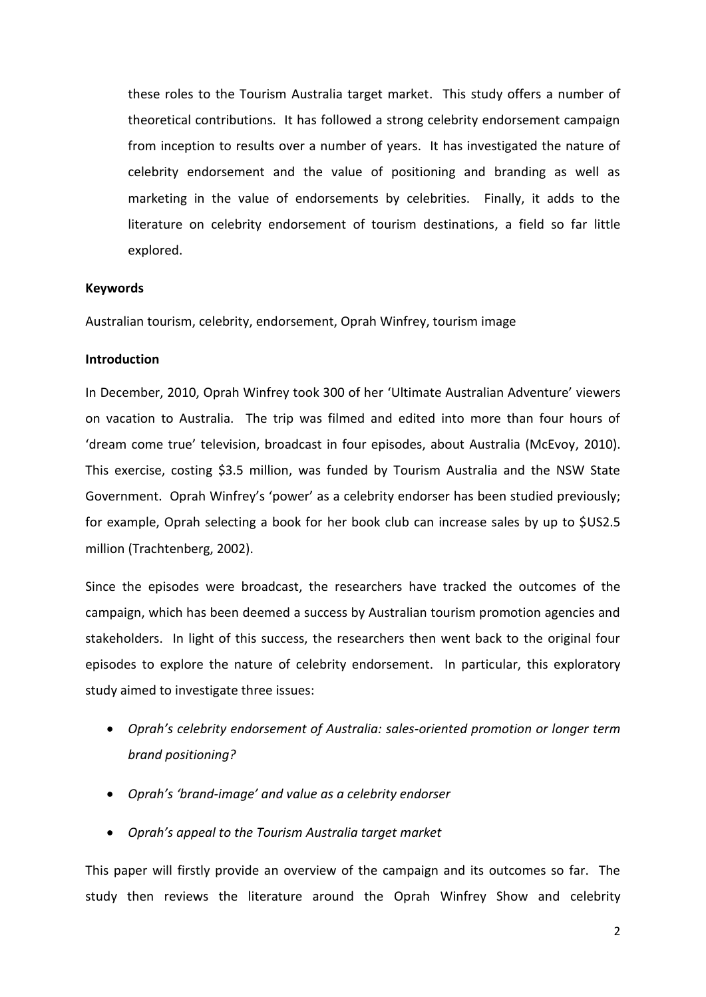these roles to the Tourism Australia target market. This study offers a number of theoretical contributions. It has followed a strong celebrity endorsement campaign from inception to results over a number of years. It has investigated the nature of celebrity endorsement and the value of positioning and branding as well as marketing in the value of endorsements by celebrities. Finally, it adds to the literature on celebrity endorsement of tourism destinations, a field so far little explored.

#### **Keywords**

Australian tourism, celebrity, endorsement, Oprah Winfrey, tourism image

#### **Introduction**

In December, 2010, Oprah Winfrey took 300 of her 'Ultimate Australian Adventure' viewers on vacation to Australia. The trip was filmed and edited into more than four hours of 'dream come true' television, broadcast in four episodes, about Australia (McEvoy, 2010). This exercise, costing \$3.5 million, was funded by Tourism Australia and the NSW State Government. Oprah Winfrey's 'power' as a celebrity endorser has been studied previously; for example, Oprah selecting a book for her book club can increase sales by up to \$US2.5 million (Trachtenberg, 2002).

Since the episodes were broadcast, the researchers have tracked the outcomes of the campaign, which has been deemed a success by Australian tourism promotion agencies and stakeholders. In light of this success, the researchers then went back to the original four episodes to explore the nature of celebrity endorsement. In particular, this exploratory study aimed to investigate three issues:

- *Oprah's celebrity endorsement of Australia: sales-oriented promotion or longer term brand positioning?*
- *Oprah's 'brand-image' and value as a celebrity endorser*
- *Oprah's appeal to the Tourism Australia target market*

This paper will firstly provide an overview of the campaign and its outcomes so far. The study then reviews the literature around the Oprah Winfrey Show and celebrity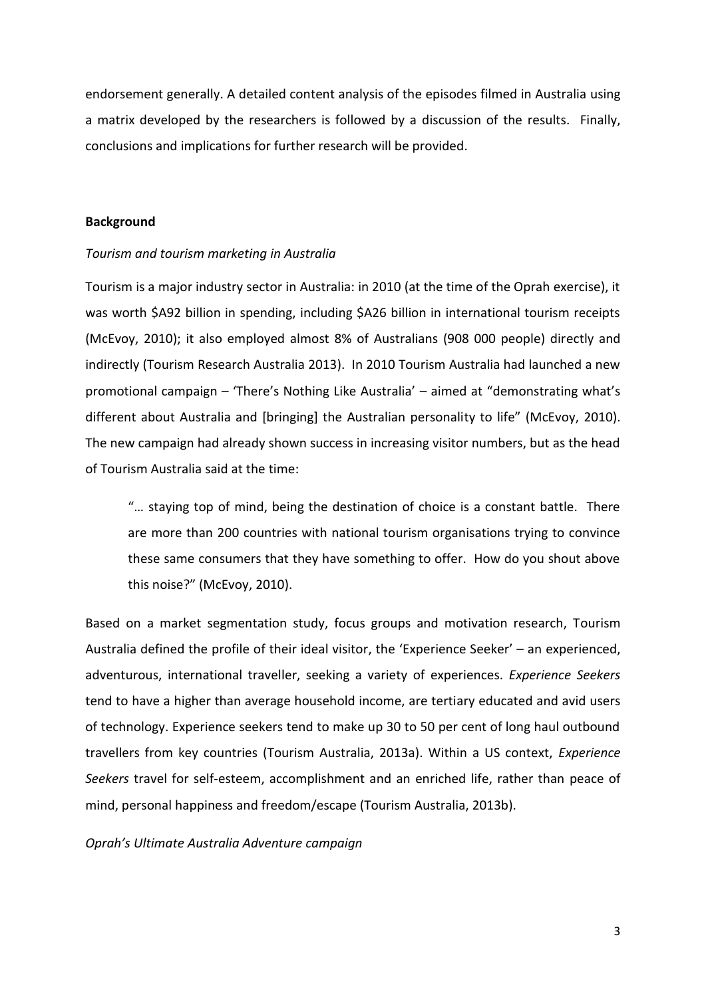endorsement generally. A detailed content analysis of the episodes filmed in Australia using a matrix developed by the researchers is followed by a discussion of the results. Finally, conclusions and implications for further research will be provided.

#### **Background**

#### *Tourism and tourism marketing in Australia*

Tourism is a major industry sector in Australia: in 2010 (at the time of the Oprah exercise), it was worth \$A92 billion in spending, including \$A26 billion in international tourism receipts (McEvoy, 2010); it also employed almost 8% of Australians (908 000 people) directly and indirectly (Tourism Research Australia 2013). In 2010 Tourism Australia had launched a new promotional campaign – 'There's Nothing Like Australia' – aimed at "demonstrating what's different about Australia and [bringing] the Australian personality to life" (McEvoy, 2010). The new campaign had already shown success in increasing visitor numbers, but as the head of Tourism Australia said at the time:

"… staying top of mind, being the destination of choice is a constant battle. There are more than 200 countries with national tourism organisations trying to convince these same consumers that they have something to offer. How do you shout above this noise?" (McEvoy, 2010).

Based on a market segmentation study, focus groups and motivation research, Tourism Australia defined the profile of their ideal visitor, the 'Experience Seeker' – an experienced, adventurous, international traveller, seeking a variety of experiences. *Experience Seekers* tend to have a higher than average household income, are tertiary educated and avid users of technology. Experience seekers tend to make up 30 to 50 per cent of long haul outbound travellers from key countries (Tourism Australia, 2013a). Within a US context, *Experience Seekers* travel for self-esteem, accomplishment and an enriched life, rather than peace of mind, personal happiness and freedom/escape (Tourism Australia, 2013b).

#### *Oprah's Ultimate Australia Adventure campaign*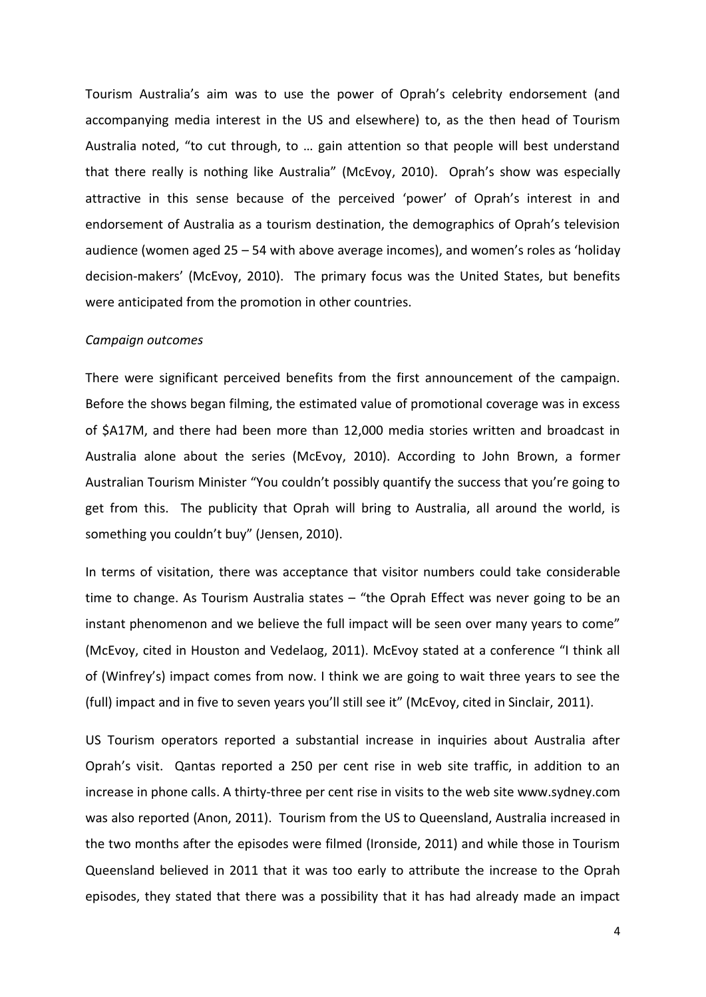Tourism Australia's aim was to use the power of Oprah's celebrity endorsement (and accompanying media interest in the US and elsewhere) to, as the then head of Tourism Australia noted, "to cut through, to … gain attention so that people will best understand that there really is nothing like Australia" (McEvoy, 2010). Oprah's show was especially attractive in this sense because of the perceived 'power' of Oprah's interest in and endorsement of Australia as a tourism destination, the demographics of Oprah's television audience (women aged 25 – 54 with above average incomes), and women's roles as 'holiday decision-makers' (McEvoy, 2010). The primary focus was the United States, but benefits were anticipated from the promotion in other countries.

#### *Campaign outcomes*

There were significant perceived benefits from the first announcement of the campaign. Before the shows began filming, the estimated value of promotional coverage was in excess of \$A17M, and there had been more than 12,000 media stories written and broadcast in Australia alone about the series (McEvoy, 2010). According to John Brown, a former Australian Tourism Minister "You couldn't possibly quantify the success that you're going to get from this. The publicity that Oprah will bring to Australia, all around the world, is something you couldn't buy" (Jensen, 2010).

In terms of visitation, there was acceptance that visitor numbers could take considerable time to change. As Tourism Australia states – "the Oprah Effect was never going to be an instant phenomenon and we believe the full impact will be seen over many years to come" (McEvoy, cited in Houston and Vedelaog, 2011). McEvoy stated at a conference "I think all of (Winfrey's) impact comes from now. I think we are going to wait three years to see the (full) impact and in five to seven years you'll still see it" (McEvoy, cited in Sinclair, 2011).

US Tourism operators reported a substantial increase in inquiries about Australia after Oprah's visit. Qantas reported a 250 per cent rise in web site traffic, in addition to an increase in phone calls. A thirty-three per cent rise in visits to the web site www.sydney.com was also reported (Anon, 2011). Tourism from the US to Queensland, Australia increased in the two months after the episodes were filmed (Ironside, 2011) and while those in Tourism Queensland believed in 2011 that it was too early to attribute the increase to the Oprah episodes, they stated that there was a possibility that it has had already made an impact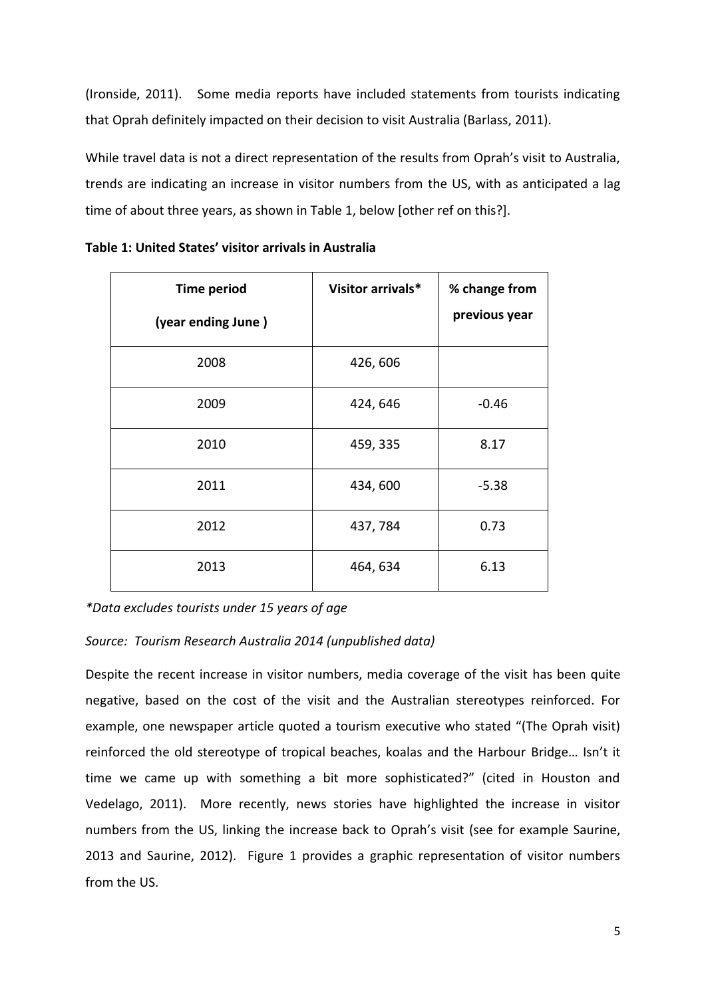(Ironside, 2011). Some media reports have included statements from tourists indicating that Oprah definitely impacted on their decision to visit Australia (Barlass, 2011).

While travel data is not a direct representation of the results from Oprah's visit to Australia, trends are indicating an increase in visitor numbers from the US, with as anticipated a lag time of about three years, as shown in Table 1, below [other ref on this?].

| <b>Time period</b> | Visitor arrivals* | % change from |
|--------------------|-------------------|---------------|
| (year ending June) |                   | previous year |
| 2008               | 426,606           |               |
| 2009               | 424,646           | $-0.46$       |
| 2010               | 459, 335          | 8.17          |
| 2011               | 434,600           | $-5.38$       |
| 2012               | 437,784           | 0.73          |
| 2013               | 464, 634          | 6.13          |

**Table 1: United States' visitor arrivals in Australia** 

*\*Data excludes tourists under 15 years of age*

## *Source: Tourism Research Australia 2014 (unpublished data)*

Despite the recent increase in visitor numbers, media coverage of the visit has been quite negative, based on the cost of the visit and the Australian stereotypes reinforced. For example, one newspaper article quoted a tourism executive who stated "(The Oprah visit) reinforced the old stereotype of tropical beaches, koalas and the Harbour Bridge… Isn't it time we came up with something a bit more sophisticated?" (cited in Houston and Vedelago, 2011). More recently, news stories have highlighted the increase in visitor numbers from the US, linking the increase back to Oprah's visit (see for example Saurine, 2013 and Saurine, 2012). Figure 1 provides a graphic representation of visitor numbers from the US.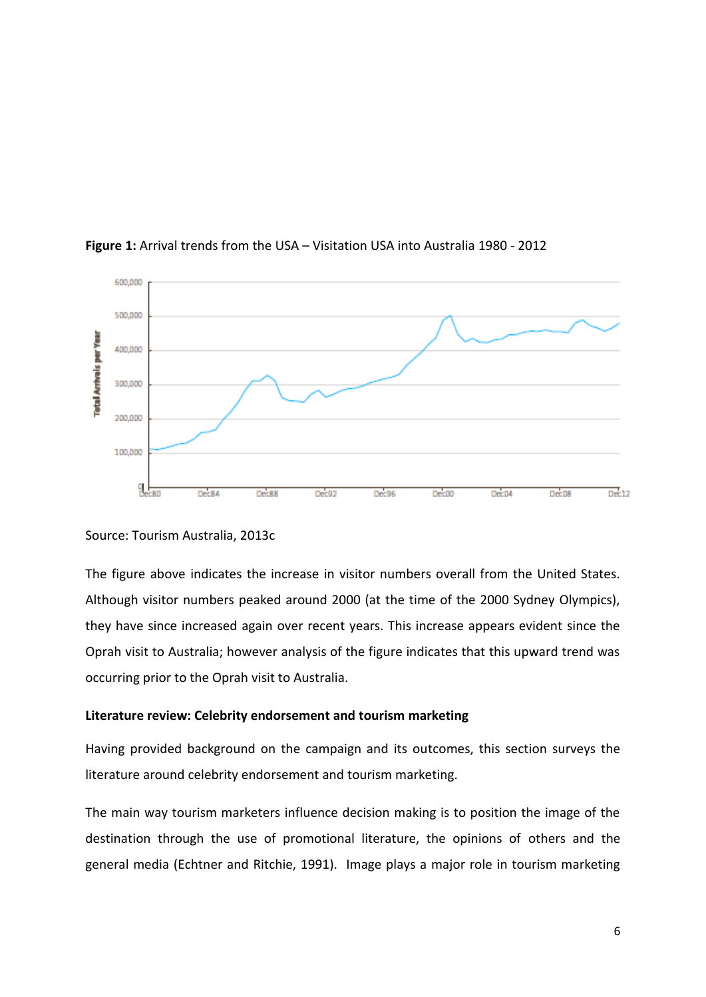

## **Figure 1:** Arrival trends from the USA – Visitation USA into Australia 1980 - 2012

Source: Tourism Australia, 2013c

The figure above indicates the increase in visitor numbers overall from the United States. Although visitor numbers peaked around 2000 (at the time of the 2000 Sydney Olympics), they have since increased again over recent years. This increase appears evident since the Oprah visit to Australia; however analysis of the figure indicates that this upward trend was occurring prior to the Oprah visit to Australia.

## **Literature review: Celebrity endorsement and tourism marketing**

Having provided background on the campaign and its outcomes, this section surveys the literature around celebrity endorsement and tourism marketing.

The main way tourism marketers influence decision making is to position the image of the destination through the use of promotional literature, the opinions of others and the general media (Echtner and Ritchie, 1991). Image plays a major role in tourism marketing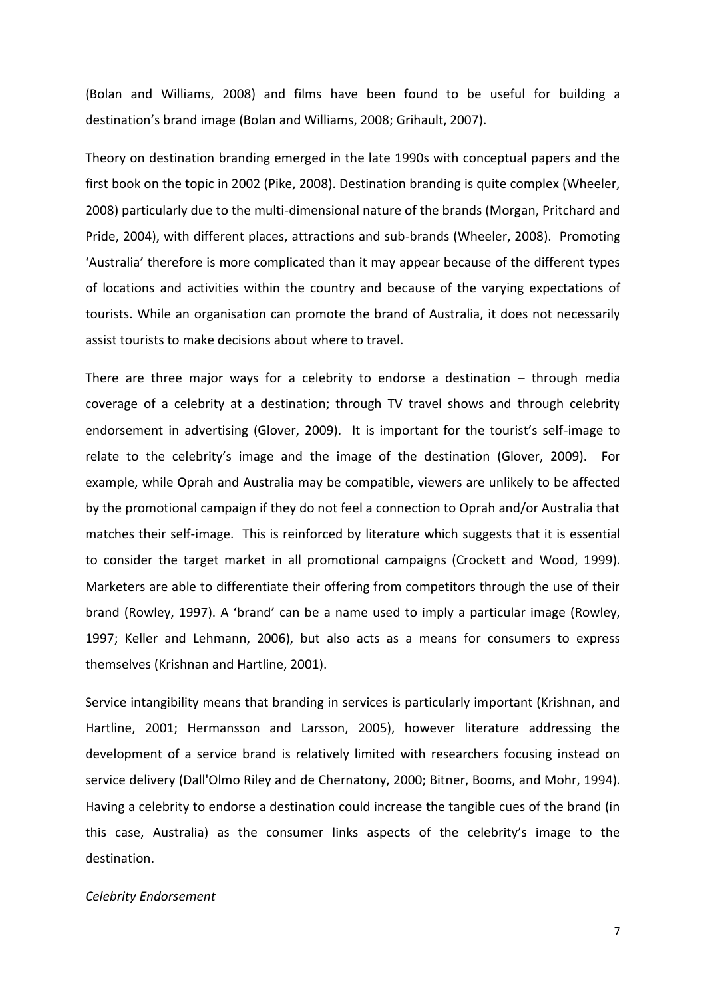(Bolan and Williams, 2008) and films have been found to be useful for building a destination's brand image (Bolan and Williams, 2008; Grihault, 2007).

Theory on destination branding emerged in the late 1990s with conceptual papers and the first book on the topic in 2002 (Pike, 2008). Destination branding is quite complex (Wheeler, 2008) particularly due to the multi-dimensional nature of the brands (Morgan, Pritchard and Pride, 2004), with different places, attractions and sub-brands (Wheeler, 2008). Promoting 'Australia' therefore is more complicated than it may appear because of the different types of locations and activities within the country and because of the varying expectations of tourists. While an organisation can promote the brand of Australia, it does not necessarily assist tourists to make decisions about where to travel.

There are three major ways for a celebrity to endorse a destination – through media coverage of a celebrity at a destination; through TV travel shows and through celebrity endorsement in advertising (Glover, 2009). It is important for the tourist's self-image to relate to the celebrity's image and the image of the destination (Glover, 2009). For example, while Oprah and Australia may be compatible, viewers are unlikely to be affected by the promotional campaign if they do not feel a connection to Oprah and/or Australia that matches their self-image. This is reinforced by literature which suggests that it is essential to consider the target market in all promotional campaigns (Crockett and Wood, 1999). Marketers are able to differentiate their offering from competitors through the use of their brand (Rowley, 1997). A 'brand' can be a name used to imply a particular image (Rowley, 1997; Keller and Lehmann, 2006), but also acts as a means for consumers to express themselves (Krishnan and Hartline, 2001).

Service intangibility means that branding in services is particularly important (Krishnan, and Hartline, 2001; Hermansson and Larsson, 2005), however literature addressing the development of a service brand is relatively limited with researchers focusing instead on service delivery (Dall'Olmo Riley and de Chernatony, 2000; Bitner, Booms, and Mohr, 1994). Having a celebrity to endorse a destination could increase the tangible cues of the brand (in this case, Australia) as the consumer links aspects of the celebrity's image to the destination.

#### *Celebrity Endorsement*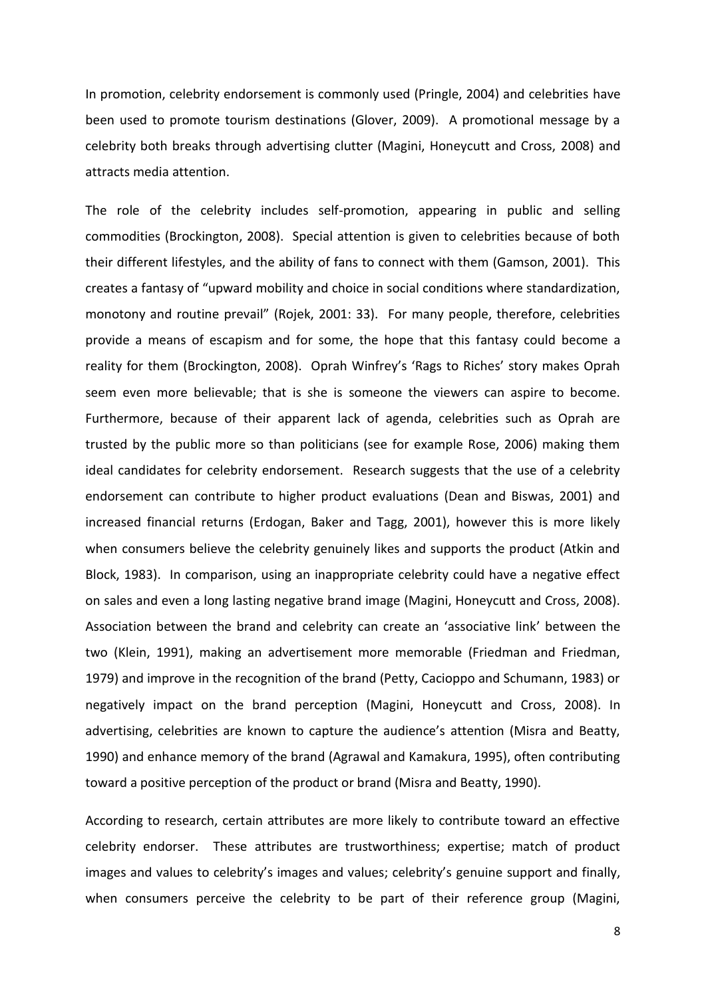In promotion, celebrity endorsement is commonly used (Pringle, 2004) and celebrities have been used to promote tourism destinations (Glover, 2009). A promotional message by a celebrity both breaks through advertising clutter (Magini, Honeycutt and Cross, 2008) and attracts media attention.

The role of the celebrity includes self-promotion, appearing in public and selling commodities (Brockington, 2008). Special attention is given to celebrities because of both their different lifestyles, and the ability of fans to connect with them (Gamson, 2001). This creates a fantasy of "upward mobility and choice in social conditions where standardization, monotony and routine prevail" (Rojek, 2001: 33). For many people, therefore, celebrities provide a means of escapism and for some, the hope that this fantasy could become a reality for them (Brockington, 2008). Oprah Winfrey's 'Rags to Riches' story makes Oprah seem even more believable; that is she is someone the viewers can aspire to become. Furthermore, because of their apparent lack of agenda, celebrities such as Oprah are trusted by the public more so than politicians (see for example Rose, 2006) making them ideal candidates for celebrity endorsement. Research suggests that the use of a celebrity endorsement can contribute to higher product evaluations (Dean and Biswas, 2001) and increased financial returns (Erdogan, Baker and Tagg, 2001), however this is more likely when consumers believe the celebrity genuinely likes and supports the product (Atkin and Block, 1983). In comparison, using an inappropriate celebrity could have a negative effect on sales and even a long lasting negative brand image (Magini, Honeycutt and Cross, 2008). Association between the brand and celebrity can create an 'associative link' between the two (Klein, 1991), making an advertisement more memorable (Friedman and Friedman, 1979) and improve in the recognition of the brand (Petty, Cacioppo and Schumann, 1983) or negatively impact on the brand perception (Magini, Honeycutt and Cross, 2008). In advertising, celebrities are known to capture the audience's attention (Misra and Beatty, 1990) and enhance memory of the brand (Agrawal and Kamakura, 1995), often contributing toward a positive perception of the product or brand (Misra and Beatty, 1990).

According to research, certain attributes are more likely to contribute toward an effective celebrity endorser. These attributes are trustworthiness; expertise; match of product images and values to celebrity's images and values; celebrity's genuine support and finally, when consumers perceive the celebrity to be part of their reference group (Magini,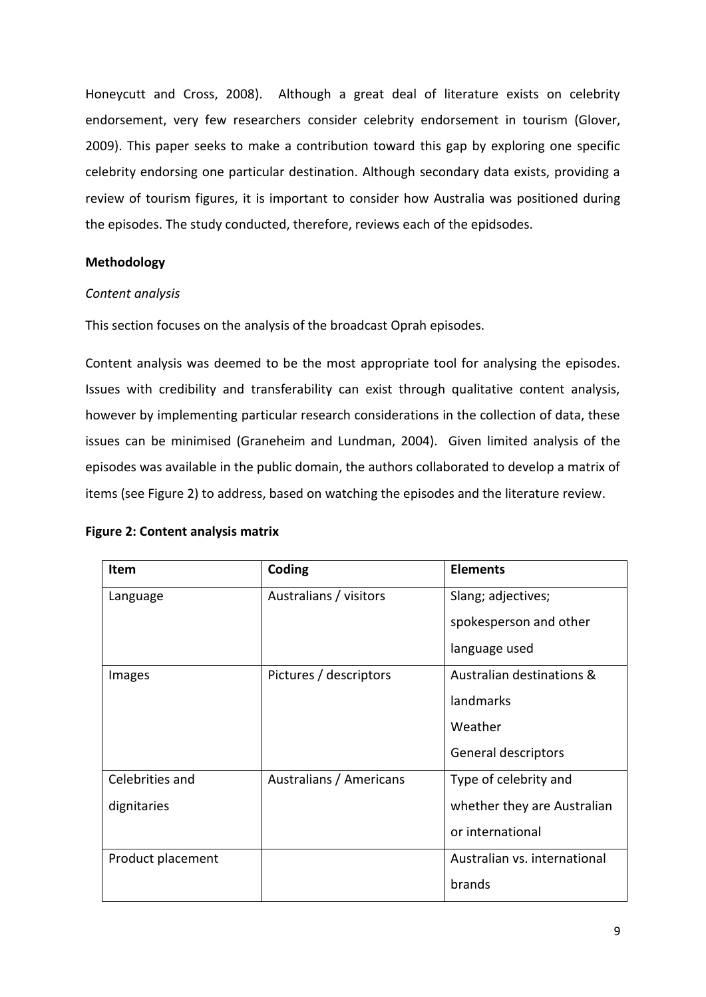Honeycutt and Cross, 2008). Although a great deal of literature exists on celebrity endorsement, very few researchers consider celebrity endorsement in tourism (Glover, 2009). This paper seeks to make a contribution toward this gap by exploring one specific celebrity endorsing one particular destination. Although secondary data exists, providing a review of tourism figures, it is important to consider how Australia was positioned during the episodes. The study conducted, therefore, reviews each of the epidsodes.

### **Methodology**

### *Content analysis*

This section focuses on the analysis of the broadcast Oprah episodes.

Content analysis was deemed to be the most appropriate tool for analysing the episodes. Issues with credibility and transferability can exist through qualitative content analysis, however by implementing particular research considerations in the collection of data, these issues can be minimised (Graneheim and Lundman, 2004). Given limited analysis of the episodes was available in the public domain, the authors collaborated to develop a matrix of items (see Figure 2) to address, based on watching the episodes and the literature review.

| <b>Item</b>       | Coding                  | <b>Elements</b>              |
|-------------------|-------------------------|------------------------------|
| Language          | Australians / visitors  | Slang; adjectives;           |
|                   |                         | spokesperson and other       |
|                   |                         | language used                |
| Images            | Pictures / descriptors  | Australian destinations &    |
|                   |                         | landmarks                    |
|                   |                         | Weather                      |
|                   |                         | General descriptors          |
| Celebrities and   | Australians / Americans | Type of celebrity and        |
| dignitaries       |                         | whether they are Australian  |
|                   |                         | or international             |
| Product placement |                         | Australian vs. international |
|                   |                         | brands                       |

### **Figure 2: Content analysis matrix**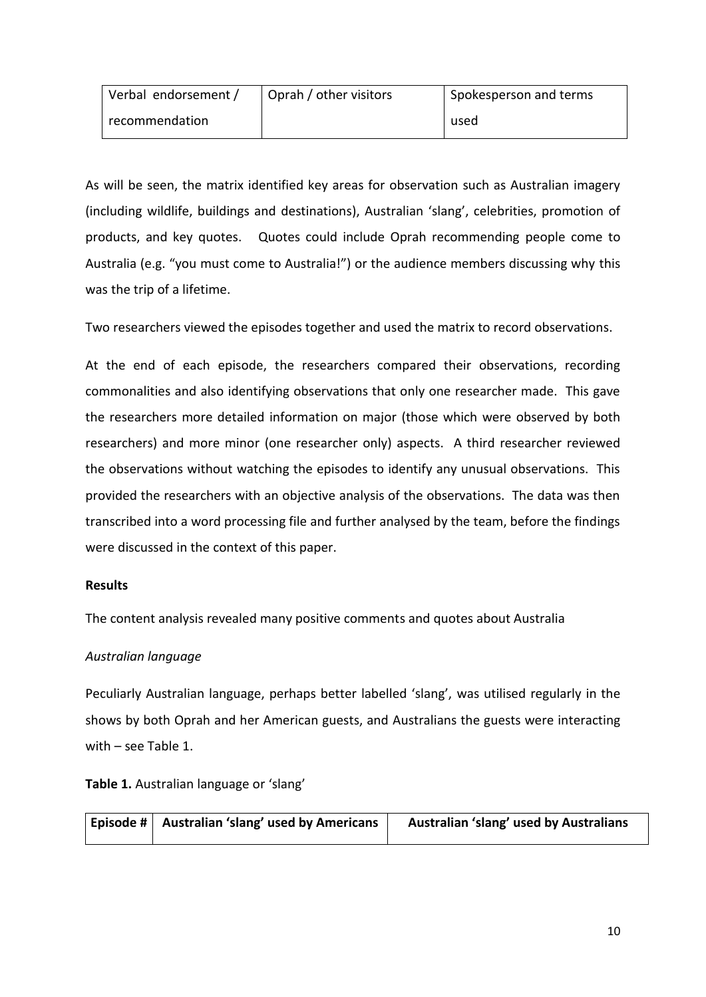| Verbal endorsement / | Oprah / other visitors | <sup>1</sup> Spokesperson and terms |
|----------------------|------------------------|-------------------------------------|
| recommendation       |                        | used                                |

As will be seen, the matrix identified key areas for observation such as Australian imagery (including wildlife, buildings and destinations), Australian 'slang', celebrities, promotion of products, and key quotes. Quotes could include Oprah recommending people come to Australia (e.g. "you must come to Australia!") or the audience members discussing why this was the trip of a lifetime.

Two researchers viewed the episodes together and used the matrix to record observations.

At the end of each episode, the researchers compared their observations, recording commonalities and also identifying observations that only one researcher made. This gave the researchers more detailed information on major (those which were observed by both researchers) and more minor (one researcher only) aspects. A third researcher reviewed the observations without watching the episodes to identify any unusual observations. This provided the researchers with an objective analysis of the observations. The data was then transcribed into a word processing file and further analysed by the team, before the findings were discussed in the context of this paper.

## **Results**

The content analysis revealed many positive comments and quotes about Australia

## *Australian language*

Peculiarly Australian language, perhaps better labelled 'slang', was utilised regularly in the shows by both Oprah and her American guests, and Australians the guests were interacting with – see Table 1.

## **Table 1.** Australian language or 'slang'

| Episode #   Australian 'slang' used by Americans | <b>Australian 'slang' used by Australians</b> |
|--------------------------------------------------|-----------------------------------------------|
|                                                  |                                               |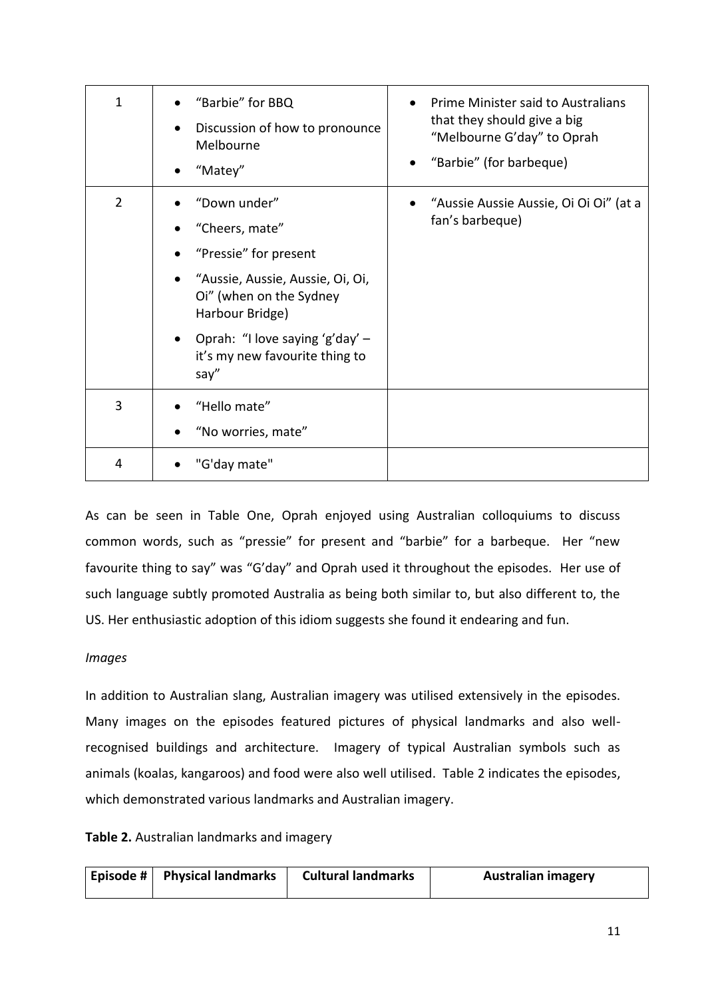| $\mathbf{1}$ | "Barbie" for BBQ<br>Discussion of how to pronounce<br>Melbourne<br>"Matey"                                                                                                                                             | Prime Minister said to Australians<br>that they should give a big<br>"Melbourne G'day" to Oprah<br>"Barbie" (for barbeque) |
|--------------|------------------------------------------------------------------------------------------------------------------------------------------------------------------------------------------------------------------------|----------------------------------------------------------------------------------------------------------------------------|
| 2            | "Down under"<br>"Cheers, mate"<br>"Pressie" for present<br>"Aussie, Aussie, Aussie, Oi, Oi,<br>Oi" (when on the Sydney<br>Harbour Bridge)<br>Oprah: "I love saying 'g'day' -<br>it's my new favourite thing to<br>say" | "Aussie Aussie Aussie, Oi Oi Oi" (at a<br>fan's barbeque)                                                                  |
| 3            | "Hello mate"<br>"No worries, mate"                                                                                                                                                                                     |                                                                                                                            |
| 4            | "G'day mate"                                                                                                                                                                                                           |                                                                                                                            |

As can be seen in Table One, Oprah enjoyed using Australian colloquiums to discuss common words, such as "pressie" for present and "barbie" for a barbeque. Her "new favourite thing to say" was "G'day" and Oprah used it throughout the episodes. Her use of such language subtly promoted Australia as being both similar to, but also different to, the US. Her enthusiastic adoption of this idiom suggests she found it endearing and fun.

# *Images*

In addition to Australian slang, Australian imagery was utilised extensively in the episodes. Many images on the episodes featured pictures of physical landmarks and also wellrecognised buildings and architecture. Imagery of typical Australian symbols such as animals (koalas, kangaroos) and food were also well utilised. Table 2 indicates the episodes, which demonstrated various landmarks and Australian imagery.

**Table 2.** Australian landmarks and imagery

|  | $ $ Episode # $ $ Physical landmarks | <b>Cultural landmarks</b> | <b>Australian imagery</b> |
|--|--------------------------------------|---------------------------|---------------------------|
|--|--------------------------------------|---------------------------|---------------------------|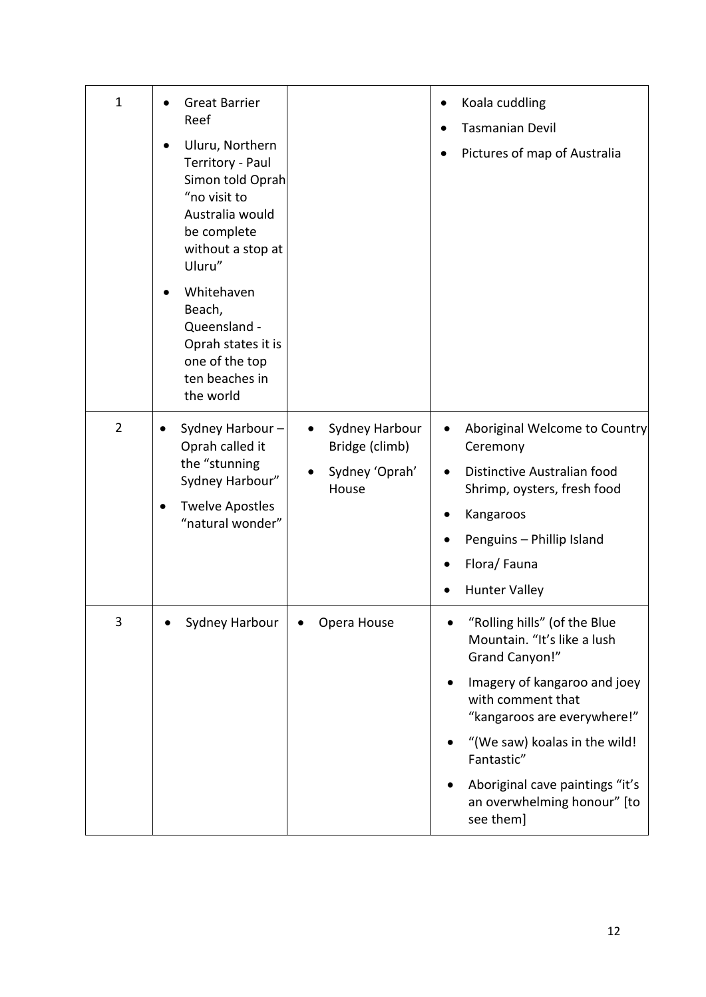| 1              | <b>Great Barrier</b><br>Reef<br>Uluru, Northern<br>$\bullet$<br>Territory - Paul<br>Simon told Oprah<br>"no visit to<br>Australia would<br>be complete<br>without a stop at<br>Uluru"<br>Whitehaven<br>$\bullet$<br>Beach,<br>Queensland -<br>Oprah states it is<br>one of the top<br>ten beaches in<br>the world |                                                             | Koala cuddling<br><b>Tasmanian Devil</b><br>Pictures of map of Australia                                                                                                                                                                                                                        |
|----------------|-------------------------------------------------------------------------------------------------------------------------------------------------------------------------------------------------------------------------------------------------------------------------------------------------------------------|-------------------------------------------------------------|-------------------------------------------------------------------------------------------------------------------------------------------------------------------------------------------------------------------------------------------------------------------------------------------------|
| $\overline{2}$ | Sydney Harbour-<br>Oprah called it<br>the "stunning<br>Sydney Harbour"<br><b>Twelve Apostles</b><br>"natural wonder"                                                                                                                                                                                              | Sydney Harbour<br>Bridge (climb)<br>Sydney 'Oprah'<br>House | Aboriginal Welcome to Country<br>$\bullet$<br>Ceremony<br>Distinctive Australian food<br>Shrimp, oysters, fresh food<br>Kangaroos<br>Penguins - Phillip Island<br>Flora/Fauna<br><b>Hunter Valley</b>                                                                                           |
| 3              | Sydney Harbour                                                                                                                                                                                                                                                                                                    | Opera House                                                 | "Rolling hills" (of the Blue<br>Mountain. "It's like a lush<br>Grand Canyon!"<br>Imagery of kangaroo and joey<br>with comment that<br>"kangaroos are everywhere!"<br>"(We saw) koalas in the wild!<br>Fantastic"<br>Aboriginal cave paintings "it's<br>an overwhelming honour" [to<br>see them] |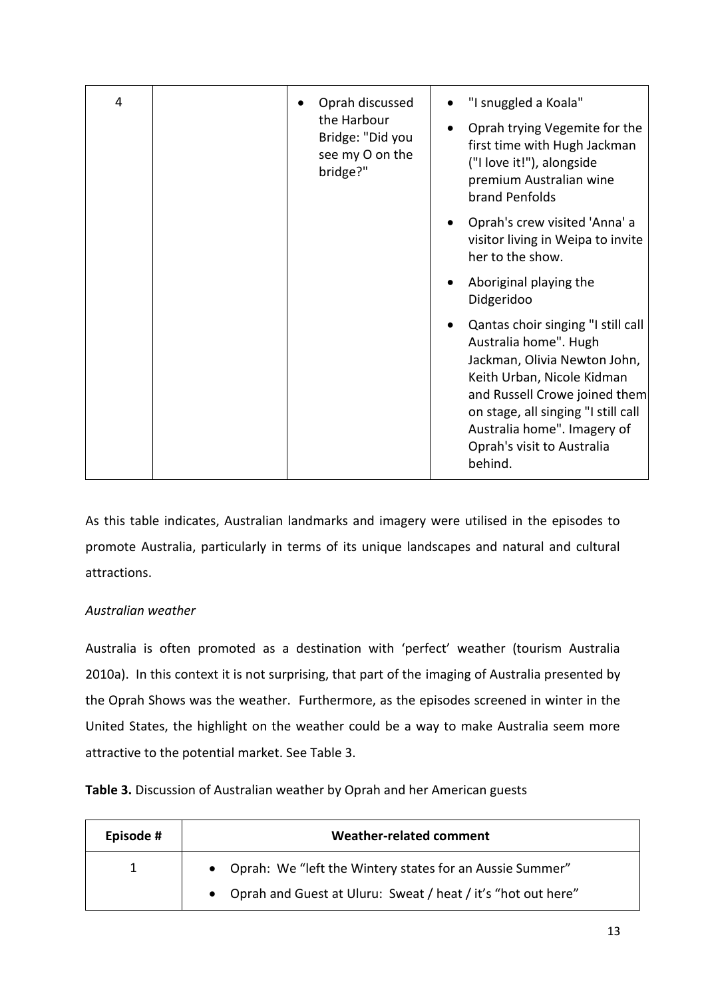| 4 | Oprah discussed<br>the Harbour<br>Bridge: "Did you<br>see my O on the<br>bridge?" | "I snuggled a Koala"<br>Oprah trying Vegemite for the<br>first time with Hugh Jackman<br>("I love it!"), alongside<br>premium Australian wine<br>brand Penfolds                                                                                                           |
|---|-----------------------------------------------------------------------------------|---------------------------------------------------------------------------------------------------------------------------------------------------------------------------------------------------------------------------------------------------------------------------|
|   |                                                                                   | Oprah's crew visited 'Anna' a<br>visitor living in Weipa to invite<br>her to the show.                                                                                                                                                                                    |
|   |                                                                                   | Aboriginal playing the<br>Didgeridoo                                                                                                                                                                                                                                      |
|   |                                                                                   | Qantas choir singing "I still call<br>Australia home". Hugh<br>Jackman, Olivia Newton John,<br>Keith Urban, Nicole Kidman<br>and Russell Crowe joined them<br>on stage, all singing "I still call<br>Australia home". Imagery of<br>Oprah's visit to Australia<br>behind. |

As this table indicates, Australian landmarks and imagery were utilised in the episodes to promote Australia, particularly in terms of its unique landscapes and natural and cultural attractions.

# *Australian weather*

Australia is often promoted as a destination with 'perfect' weather (tourism Australia 2010a). In this context it is not surprising, that part of the imaging of Australia presented by the Oprah Shows was the weather. Furthermore, as the episodes screened in winter in the United States, the highlight on the weather could be a way to make Australia seem more attractive to the potential market. See Table 3.

**Table 3.** Discussion of Australian weather by Oprah and her American guests

| Episode # | Weather-related comment                                        |  |  |
|-----------|----------------------------------------------------------------|--|--|
| 1         | • Oprah: We "left the Wintery states for an Aussie Summer"     |  |  |
|           | • Oprah and Guest at Uluru: Sweat / heat / it's "hot out here" |  |  |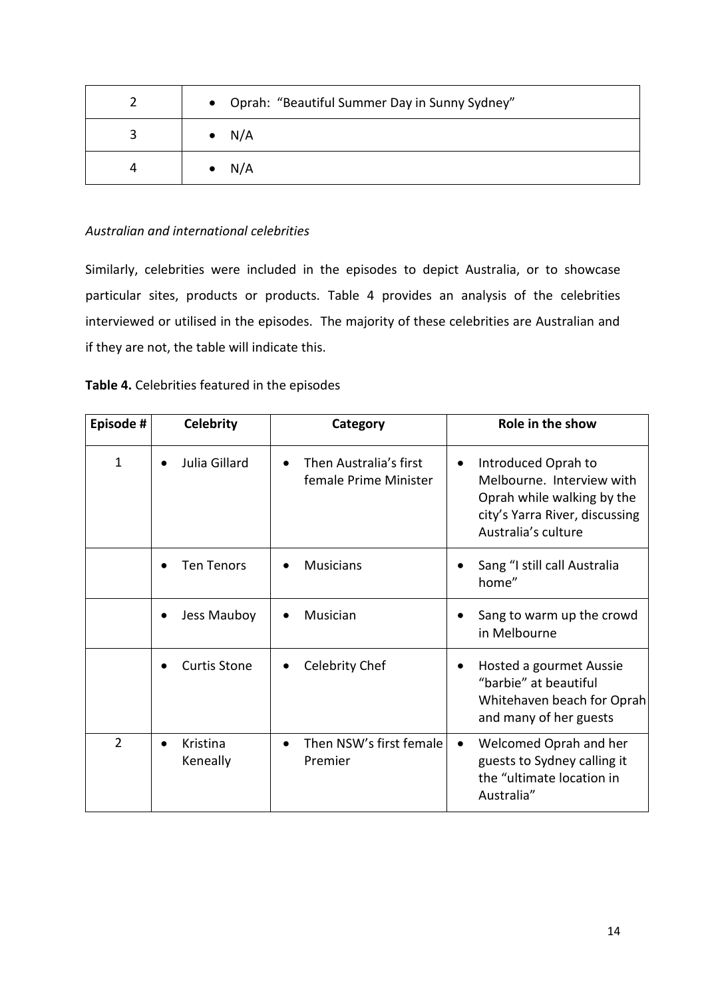|   | • Oprah: "Beautiful Summer Day in Sunny Sydney" |
|---|-------------------------------------------------|
|   | $\bullet$ N/A                                   |
| 4 | N/A                                             |

# *Australian and international celebrities*

Similarly, celebrities were included in the episodes to depict Australia, or to showcase particular sites, products or products. Table 4 provides an analysis of the celebrities interviewed or utilised in the episodes. The majority of these celebrities are Australian and if they are not, the table will indicate this.

|  | Table 4. Celebrities featured in the episodes |  |  |  |  |
|--|-----------------------------------------------|--|--|--|--|
|--|-----------------------------------------------|--|--|--|--|

| Episode #      | <b>Celebrity</b>                  | Category                                        | Role in the show                                                                                                                        |
|----------------|-----------------------------------|-------------------------------------------------|-----------------------------------------------------------------------------------------------------------------------------------------|
| 1              | Julia Gillard<br>$\bullet$        | Then Australia's first<br>female Prime Minister | Introduced Oprah to<br>Melbourne. Interview with<br>Oprah while walking by the<br>city's Yarra River, discussing<br>Australia's culture |
|                | <b>Ten Tenors</b>                 | <b>Musicians</b>                                | Sang "I still call Australia<br>home"                                                                                                   |
|                | Jess Mauboy                       | Musician                                        | Sang to warm up the crowd<br>in Melbourne                                                                                               |
|                | <b>Curtis Stone</b>               | <b>Celebrity Chef</b>                           | Hosted a gourmet Aussie<br>"barbie" at beautiful<br>Whitehaven beach for Oprah<br>and many of her guests                                |
| $\overline{2}$ | Kristina<br>$\bullet$<br>Keneally | Then NSW's first female<br>$\bullet$<br>Premier | Welcomed Oprah and her<br>$\bullet$<br>guests to Sydney calling it<br>the "ultimate location in<br>Australia"                           |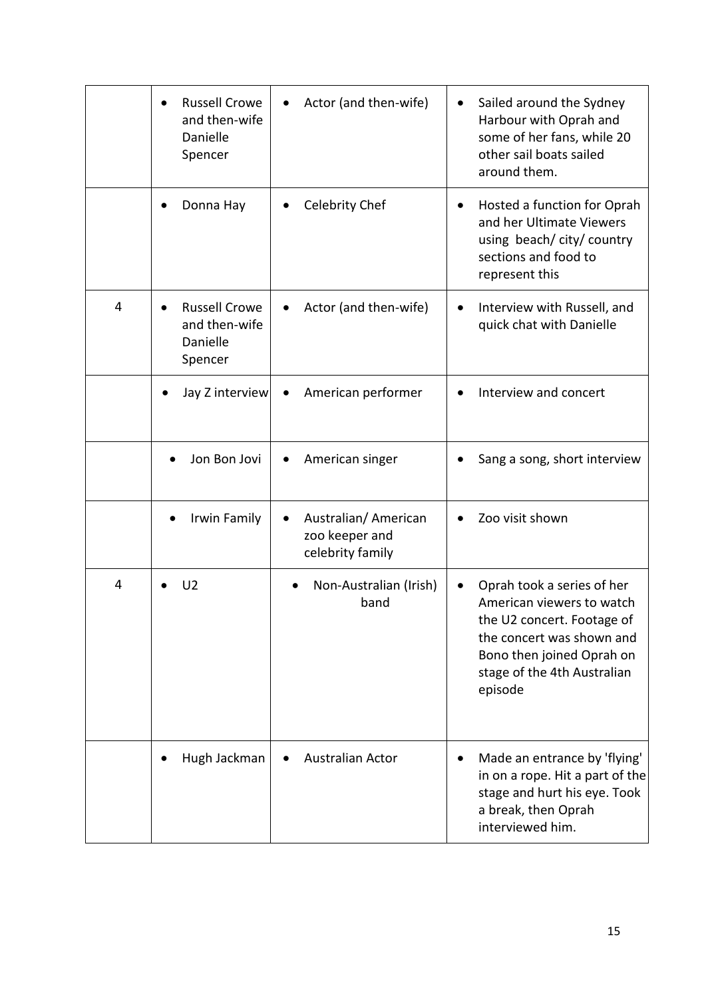|   | <b>Russell Crowe</b><br>and then-wife<br>Danielle<br>Spencer | Actor (and then-wife)                                     | Sailed around the Sydney<br>$\bullet$<br>Harbour with Oprah and<br>some of her fans, while 20<br>other sail boats sailed<br>around them.                                                  |
|---|--------------------------------------------------------------|-----------------------------------------------------------|-------------------------------------------------------------------------------------------------------------------------------------------------------------------------------------------|
|   | Donna Hay<br>$\bullet$                                       | <b>Celebrity Chef</b>                                     | Hosted a function for Oprah<br>٠<br>and her Ultimate Viewers<br>using beach/city/country<br>sections and food to<br>represent this                                                        |
| 4 | <b>Russell Crowe</b><br>and then-wife<br>Danielle<br>Spencer | Actor (and then-wife)                                     | Interview with Russell, and<br>quick chat with Danielle                                                                                                                                   |
|   | Jay Z interview                                              | American performer                                        | Interview and concert                                                                                                                                                                     |
|   | Jon Bon Jovi                                                 | American singer                                           | Sang a song, short interview                                                                                                                                                              |
|   | Irwin Family                                                 | Australian/American<br>zoo keeper and<br>celebrity family | Zoo visit shown                                                                                                                                                                           |
| 4 | U <sub>2</sub>                                               | Non-Australian (Irish)<br>band                            | Oprah took a series of her<br>American viewers to watch<br>the U2 concert. Footage of<br>the concert was shown and<br>Bono then joined Oprah on<br>stage of the 4th Australian<br>episode |
|   | Hugh Jackman                                                 | Australian Actor                                          | Made an entrance by 'flying'<br>in on a rope. Hit a part of the<br>stage and hurt his eye. Took<br>a break, then Oprah<br>interviewed him.                                                |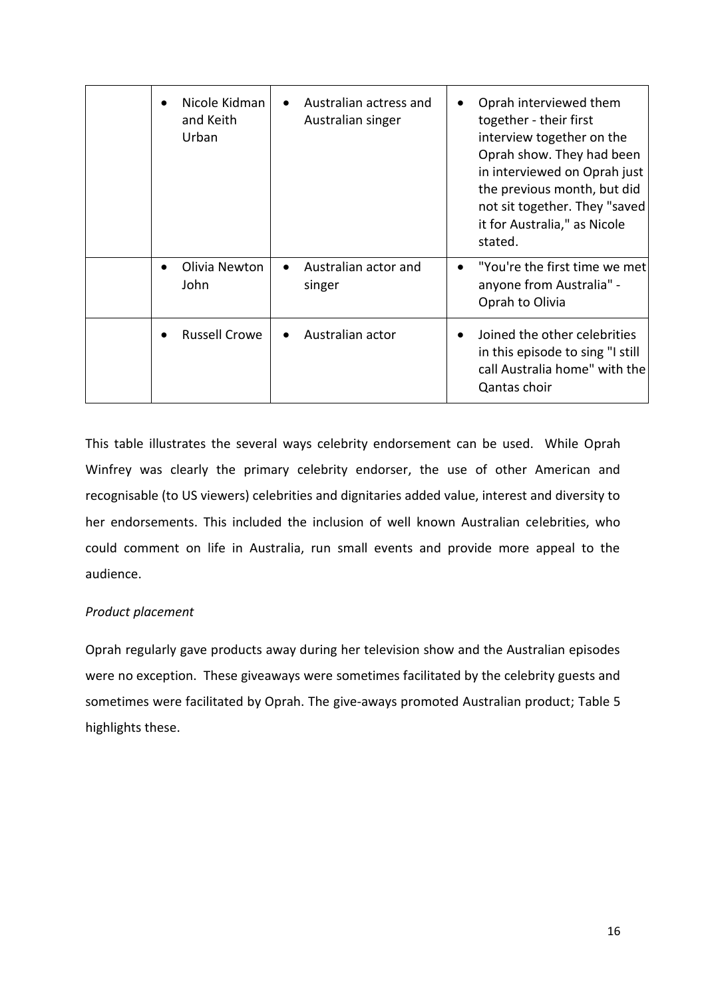| Nicole Kidman<br>$\bullet$<br>and Keith<br>Urban | Australian actress and<br>$\bullet$<br>Australian singer | Oprah interviewed them<br>together - their first<br>interview together on the<br>Oprah show. They had been<br>in interviewed on Oprah just<br>the previous month, but did<br>not sit together. They "saved<br>it for Australia," as Nicole<br>stated. |
|--------------------------------------------------|----------------------------------------------------------|-------------------------------------------------------------------------------------------------------------------------------------------------------------------------------------------------------------------------------------------------------|
| Olivia Newton<br>$\bullet$<br>John               | Australian actor and<br>$\bullet$<br>singer              | "You're the first time we met<br>anyone from Australia" -<br>Oprah to Olivia                                                                                                                                                                          |
| <b>Russell Crowe</b>                             | Australian actor<br>$\bullet$                            | Joined the other celebrities<br>in this episode to sing "I still<br>call Australia home" with the<br>Qantas choir                                                                                                                                     |

This table illustrates the several ways celebrity endorsement can be used. While Oprah Winfrey was clearly the primary celebrity endorser, the use of other American and recognisable (to US viewers) celebrities and dignitaries added value, interest and diversity to her endorsements. This included the inclusion of well known Australian celebrities, who could comment on life in Australia, run small events and provide more appeal to the audience.

# *Product placement*

Oprah regularly gave products away during her television show and the Australian episodes were no exception. These giveaways were sometimes facilitated by the celebrity guests and sometimes were facilitated by Oprah. The give-aways promoted Australian product; Table 5 highlights these.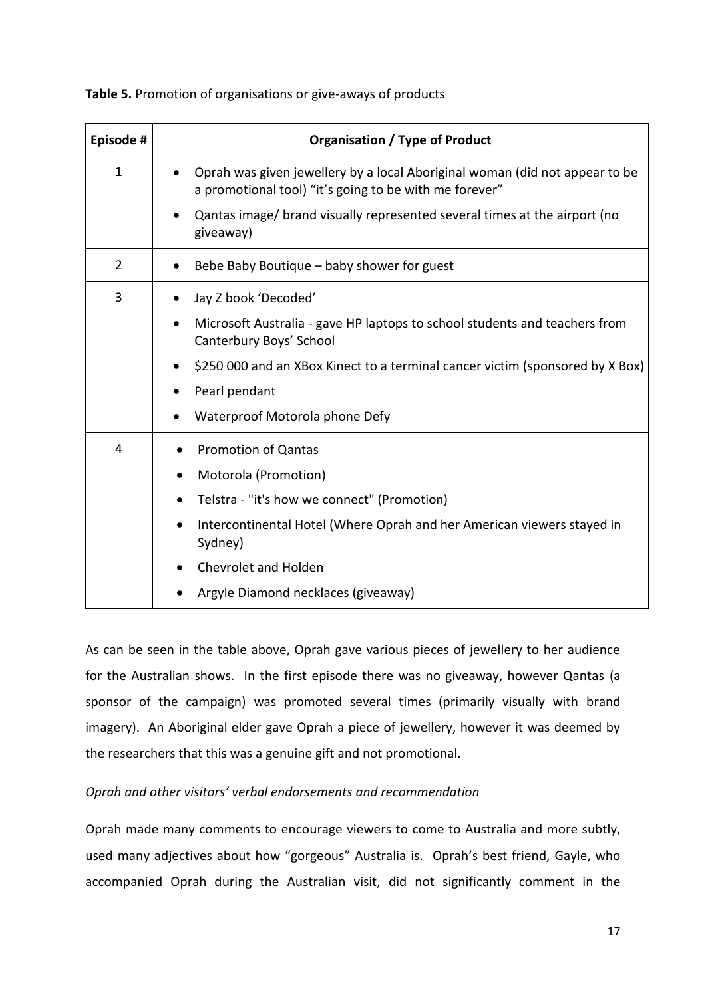| Episode # | <b>Organisation / Type of Product</b>                                                                                                 |
|-----------|---------------------------------------------------------------------------------------------------------------------------------------|
| 1         | Oprah was given jewellery by a local Aboriginal woman (did not appear to be<br>a promotional tool) "it's going to be with me forever" |
|           | Qantas image/ brand visually represented several times at the airport (no<br>giveaway)                                                |
| 2         | Bebe Baby Boutique - baby shower for guest                                                                                            |
| 3         | Jay Z book 'Decoded'                                                                                                                  |
|           | Microsoft Australia - gave HP laptops to school students and teachers from<br>Canterbury Boys' School                                 |
|           | \$250 000 and an XBox Kinect to a terminal cancer victim (sponsored by X Box)                                                         |
|           | Pearl pendant                                                                                                                         |
|           | Waterproof Motorola phone Defy                                                                                                        |
| 4         | <b>Promotion of Qantas</b>                                                                                                            |
|           | Motorola (Promotion)                                                                                                                  |
|           | Telstra - "it's how we connect" (Promotion)                                                                                           |
|           | Intercontinental Hotel (Where Oprah and her American viewers stayed in<br>Sydney)                                                     |
|           | Chevrolet and Holden                                                                                                                  |
|           | Argyle Diamond necklaces (giveaway)                                                                                                   |

# **Table 5.** Promotion of organisations or give-aways of products

As can be seen in the table above, Oprah gave various pieces of jewellery to her audience for the Australian shows. In the first episode there was no giveaway, however Qantas (a sponsor of the campaign) was promoted several times (primarily visually with brand imagery). An Aboriginal elder gave Oprah a piece of jewellery, however it was deemed by the researchers that this was a genuine gift and not promotional.

## *Oprah and other visitors' verbal endorsements and recommendation*

Oprah made many comments to encourage viewers to come to Australia and more subtly, used many adjectives about how "gorgeous" Australia is. Oprah's best friend, Gayle, who accompanied Oprah during the Australian visit, did not significantly comment in the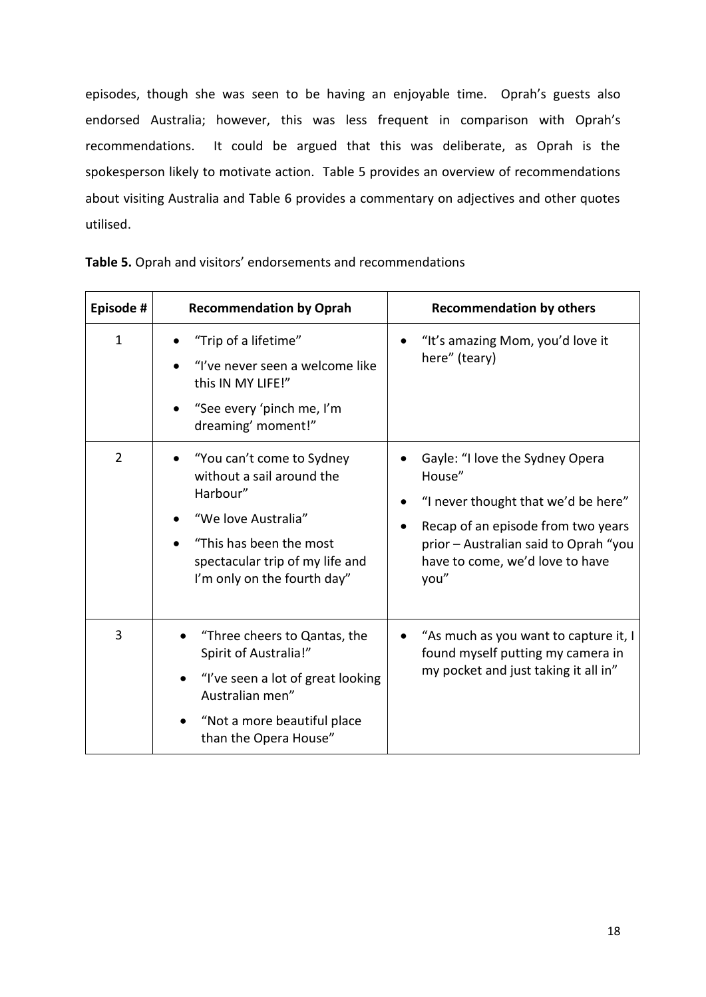episodes, though she was seen to be having an enjoyable time. Oprah's guests also endorsed Australia; however, this was less frequent in comparison with Oprah's recommendations. It could be argued that this was deliberate, as Oprah is the spokesperson likely to motivate action. Table 5 provides an overview of recommendations about visiting Australia and Table 6 provides a commentary on adjectives and other quotes utilised.

| Episode #      | <b>Recommendation by Oprah</b>                                                                                                                                                          | <b>Recommendation by others</b>                                                                                                                                                                            |  |
|----------------|-----------------------------------------------------------------------------------------------------------------------------------------------------------------------------------------|------------------------------------------------------------------------------------------------------------------------------------------------------------------------------------------------------------|--|
| 1              | "Trip of a lifetime"<br>"I've never seen a welcome like<br>this IN MY LIFE!"<br>"See every 'pinch me, I'm<br>٠<br>dreaming' moment!"                                                    | "It's amazing Mom, you'd love it<br>here" (teary)                                                                                                                                                          |  |
| $\overline{2}$ | "You can't come to Sydney"<br>without a sail around the<br>Harbour"<br>"We love Australia"<br>"This has been the most<br>spectacular trip of my life and<br>I'm only on the fourth day" | Gayle: "I love the Sydney Opera<br>House"<br>"I never thought that we'd be here"<br>Recap of an episode from two years<br>prior - Australian said to Oprah "you<br>have to come, we'd love to have<br>you" |  |
| 3              | "Three cheers to Qantas, the<br>Spirit of Australia!"<br>"I've seen a lot of great looking<br>$\bullet$<br>Australian men"<br>"Not a more beautiful place<br>than the Opera House"      | "As much as you want to capture it, I<br>found myself putting my camera in<br>my pocket and just taking it all in"                                                                                         |  |

**Table 5.** Oprah and visitors' endorsements and recommendations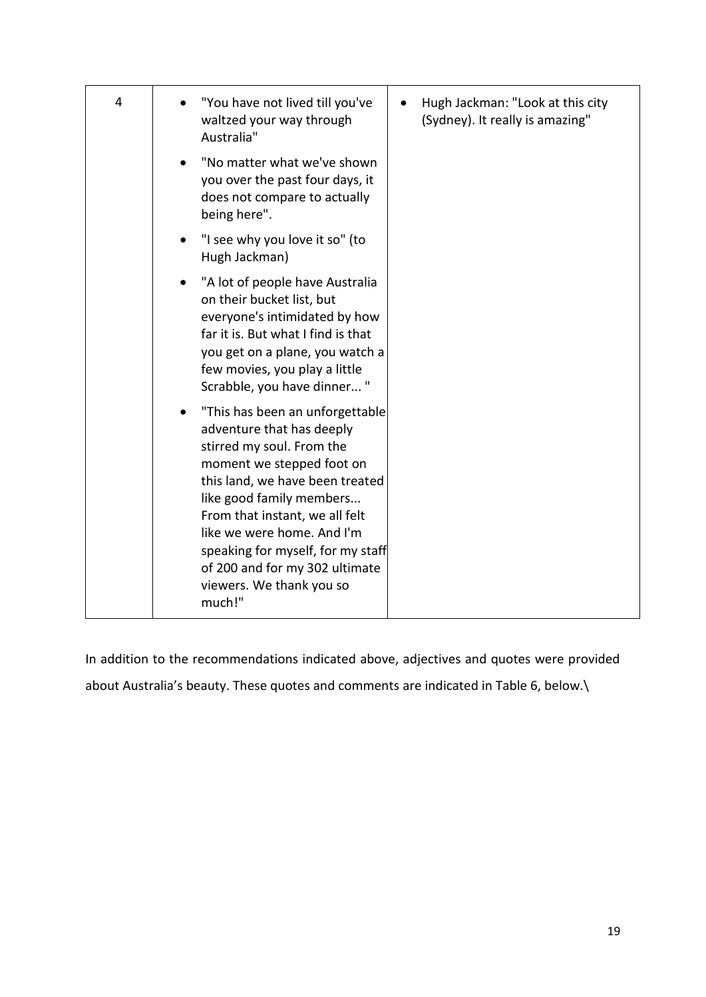| $\overline{4}$ | "You have not lived till you've<br>waltzed your way through<br>Australia"                                                                                                                                                                                                                                                                                          | Hugh Jackman: "Look at this city<br>(Sydney). It really is amazing" |
|----------------|--------------------------------------------------------------------------------------------------------------------------------------------------------------------------------------------------------------------------------------------------------------------------------------------------------------------------------------------------------------------|---------------------------------------------------------------------|
|                | "No matter what we've shown<br>you over the past four days, it<br>does not compare to actually<br>being here".                                                                                                                                                                                                                                                     |                                                                     |
|                | "I see why you love it so" (to<br>Hugh Jackman)                                                                                                                                                                                                                                                                                                                    |                                                                     |
|                | "A lot of people have Australia<br>on their bucket list, but<br>everyone's intimidated by how<br>far it is. But what I find is that<br>you get on a plane, you watch a<br>few movies, you play a little<br>Scrabble, you have dinner "                                                                                                                             |                                                                     |
|                | "This has been an unforgettable<br>adventure that has deeply<br>stirred my soul. From the<br>moment we stepped foot on<br>this land, we have been treated<br>like good family members<br>From that instant, we all felt<br>like we were home. And I'm<br>speaking for myself, for my staff<br>of 200 and for my 302 ultimate<br>viewers. We thank you so<br>much!" |                                                                     |

In addition to the recommendations indicated above, adjectives and quotes were provided about Australia's beauty. These quotes and comments are indicated in Table 6, below.\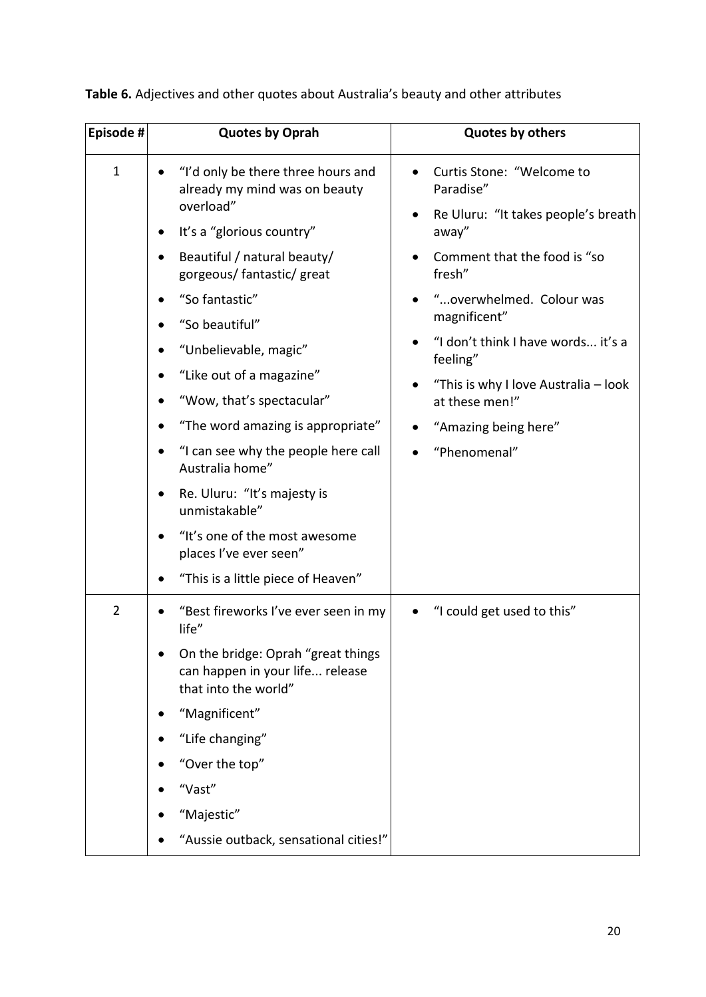| Episode #      | <b>Quotes by Oprah</b>                                                                        | <b>Quotes by others</b>                        |  |
|----------------|-----------------------------------------------------------------------------------------------|------------------------------------------------|--|
| $\mathbf{1}$   | "I'd only be there three hours and<br>٠<br>already my mind was on beauty<br>overload"         | Curtis Stone: "Welcome to<br>Paradise"         |  |
|                | It's a "glorious country"<br>$\bullet$                                                        | Re Uluru: "It takes people's breath<br>away"   |  |
|                | Beautiful / natural beauty/<br>$\bullet$<br>gorgeous/ fantastic/ great                        | Comment that the food is "so<br>fresh"         |  |
|                | "So fantastic"                                                                                | "overwhelmed. Colour was                       |  |
|                | "So beautiful"                                                                                | magnificent"                                   |  |
|                | "Unbelievable, magic"                                                                         | "I don't think I have words it's a<br>feeling" |  |
|                | "Like out of a magazine"<br>٠                                                                 | "This is why I love Australia - look           |  |
|                | "Wow, that's spectacular"                                                                     | at these men!"                                 |  |
|                | "The word amazing is appropriate"<br>$\bullet$                                                | "Amazing being here"                           |  |
|                | "I can see why the people here call<br>$\bullet$<br>Australia home"                           | "Phenomenal"                                   |  |
|                | Re. Uluru: "It's majesty is<br>٠<br>unmistakable"                                             |                                                |  |
|                | "It's one of the most awesome<br>places I've ever seen"                                       |                                                |  |
|                | "This is a little piece of Heaven"                                                            |                                                |  |
| $\overline{2}$ | "Best fireworks I've ever seen in my<br>life"                                                 | "I could get used to this"                     |  |
|                | On the bridge: Oprah "great things<br>can happen in your life release<br>that into the world" |                                                |  |
|                | "Magnificent"                                                                                 |                                                |  |
|                | "Life changing"                                                                               |                                                |  |
|                | "Over the top"                                                                                |                                                |  |
|                | "Vast"                                                                                        |                                                |  |
|                | "Majestic"                                                                                    |                                                |  |
|                | "Aussie outback, sensational cities!"                                                         |                                                |  |

**Table 6.** Adjectives and other quotes about Australia's beauty and other attributes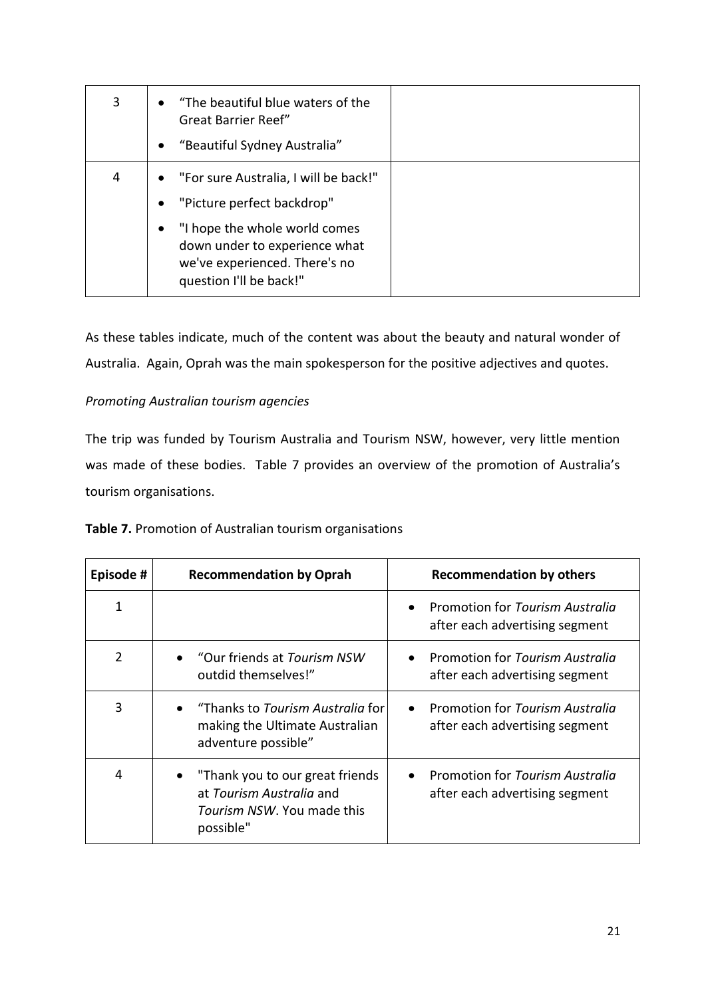| 3 | "The beautiful blue waters of the<br>$\bullet$<br><b>Great Barrier Reef"</b><br>"Beautiful Sydney Australia"<br>$\bullet$       |
|---|---------------------------------------------------------------------------------------------------------------------------------|
| 4 | "For sure Australia, I will be back!"<br>$\bullet$<br>"Picture perfect backdrop"<br>٠                                           |
|   | "I hope the whole world comes<br>٠<br>down under to experience what<br>we've experienced. There's no<br>question I'll be back!" |

As these tables indicate, much of the content was about the beauty and natural wonder of Australia. Again, Oprah was the main spokesperson for the positive adjectives and quotes.

# *Promoting Australian tourism agencies*

The trip was funded by Tourism Australia and Tourism NSW, however, very little mention was made of these bodies. Table 7 provides an overview of the promotion of Australia's tourism organisations.

| Episode #    | <b>Recommendation by Oprah</b>                                                                                 | <b>Recommendation by others</b>                                   |
|--------------|----------------------------------------------------------------------------------------------------------------|-------------------------------------------------------------------|
| $\mathbf{1}$ |                                                                                                                | Promotion for Tourism Australia<br>after each advertising segment |
| 2            | "Our friends at Tourism NSW<br>outdid themselves!"                                                             | Promotion for Tourism Australia<br>after each advertising segment |
| 3            | "Thanks to Tourism Australia for<br>making the Ultimate Australian<br>adventure possible"                      | Promotion for Tourism Australia<br>after each advertising segment |
| 4            | "Thank you to our great friends<br>at Tourism Australia and<br><i>Tourism NSW</i> . You made this<br>possible" | Promotion for Tourism Australia<br>after each advertising segment |

**Table 7.** Promotion of Australian tourism organisations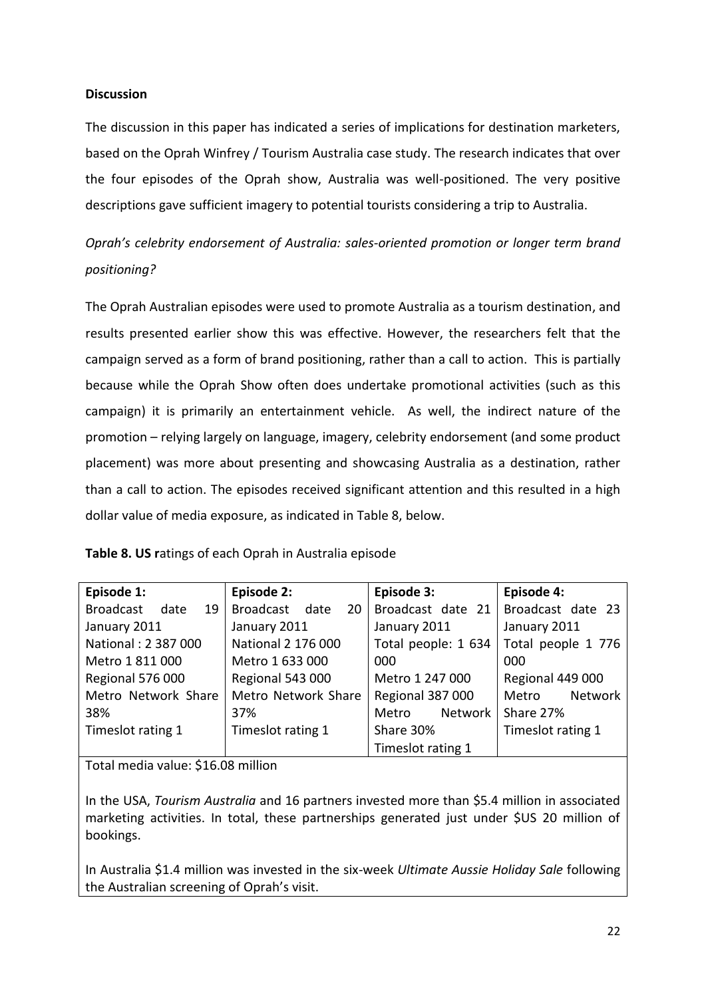# **Discussion**

The discussion in this paper has indicated a series of implications for destination marketers, based on the Oprah Winfrey / Tourism Australia case study. The research indicates that over the four episodes of the Oprah show, Australia was well-positioned. The very positive descriptions gave sufficient imagery to potential tourists considering a trip to Australia.

*Oprah's celebrity endorsement of Australia: sales-oriented promotion or longer term brand positioning?*

The Oprah Australian episodes were used to promote Australia as a tourism destination, and results presented earlier show this was effective. However, the researchers felt that the campaign served as a form of brand positioning, rather than a call to action. This is partially because while the Oprah Show often does undertake promotional activities (such as this campaign) it is primarily an entertainment vehicle. As well, the indirect nature of the promotion – relying largely on language, imagery, celebrity endorsement (and some product placement) was more about presenting and showcasing Australia as a destination, rather than a call to action. The episodes received significant attention and this resulted in a high dollar value of media exposure, as indicated in Table 8, below.

**Table 8. US r**atings of each Oprah in Australia episode

| Episode 1:                     | Episode 2:                                  | Episode 3:          | Episode 4:         |
|--------------------------------|---------------------------------------------|---------------------|--------------------|
| <b>Broadcast</b><br>date<br>19 | <b>Broadcast</b><br>date<br>20 <sub>1</sub> | Broadcast date 21   | Broadcast date 23  |
| January 2011                   | January 2011                                | January 2011        | January 2011       |
| National: 2 387 000            | National 2 176 000                          | Total people: 1 634 | Total people 1 776 |
| Metro 1 811 000                | Metro 1 633 000                             | 000                 | 000                |
| Regional 576 000               | Regional 543 000                            | Metro 1 247 000     | Regional 449 000   |
| Metro Network Share            | Metro Network Share                         | Regional 387 000    | Network<br>Metro   |
| 38%                            | 37%                                         | Network  <br>Metro  | Share 27%          |
| Timeslot rating 1              | Timeslot rating 1                           | Share 30%           | Timeslot rating 1  |
|                                |                                             | Timeslot rating 1   |                    |

Total media value: \$16.08 million

In the USA, *Tourism Australia* and 16 partners invested more than \$5.4 million in associated marketing activities. In total, these partnerships generated just under \$US 20 million of bookings.

In Australia \$1.4 million was invested in the six-week *Ultimate Aussie Holiday Sale* following the Australian screening of Oprah's visit.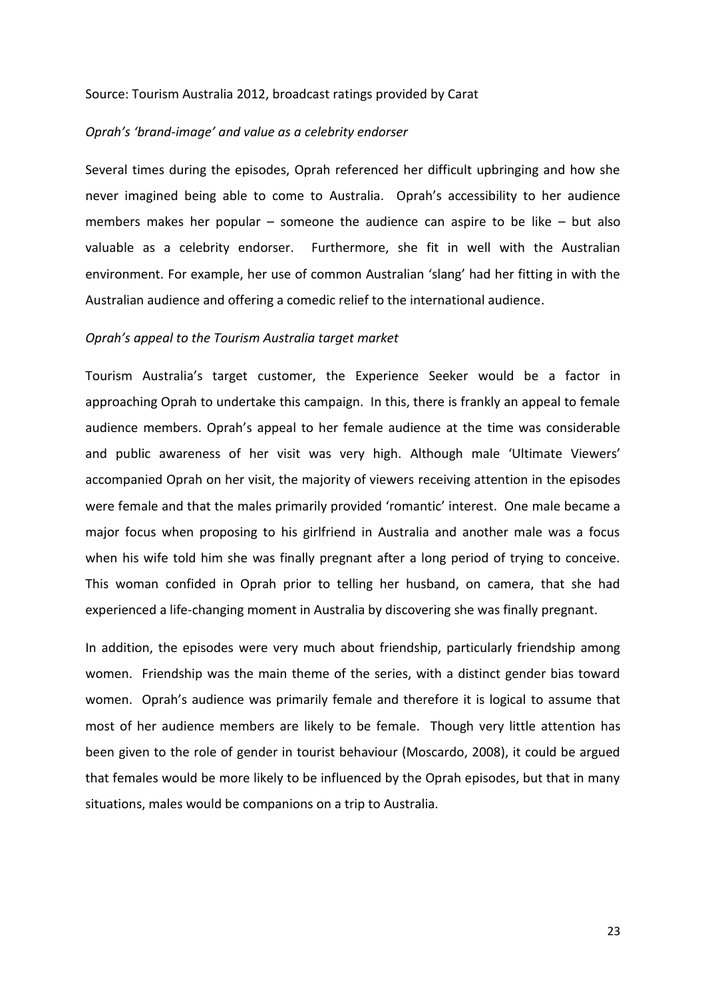#### Source: Tourism Australia 2012, broadcast ratings provided by Carat

#### *Oprah's 'brand-image' and value as a celebrity endorser*

Several times during the episodes, Oprah referenced her difficult upbringing and how she never imagined being able to come to Australia. Oprah's accessibility to her audience members makes her popular – someone the audience can aspire to be like  $-$  but also valuable as a celebrity endorser. Furthermore, she fit in well with the Australian environment. For example, her use of common Australian 'slang' had her fitting in with the Australian audience and offering a comedic relief to the international audience.

#### *Oprah's appeal to the Tourism Australia target market*

Tourism Australia's target customer, the Experience Seeker would be a factor in approaching Oprah to undertake this campaign. In this, there is frankly an appeal to female audience members. Oprah's appeal to her female audience at the time was considerable and public awareness of her visit was very high. Although male 'Ultimate Viewers' accompanied Oprah on her visit, the majority of viewers receiving attention in the episodes were female and that the males primarily provided 'romantic' interest. One male became a major focus when proposing to his girlfriend in Australia and another male was a focus when his wife told him she was finally pregnant after a long period of trying to conceive. This woman confided in Oprah prior to telling her husband, on camera, that she had experienced a life-changing moment in Australia by discovering she was finally pregnant.

In addition, the episodes were very much about friendship, particularly friendship among women. Friendship was the main theme of the series, with a distinct gender bias toward women. Oprah's audience was primarily female and therefore it is logical to assume that most of her audience members are likely to be female. Though very little attention has been given to the role of gender in tourist behaviour (Moscardo, 2008), it could be argued that females would be more likely to be influenced by the Oprah episodes, but that in many situations, males would be companions on a trip to Australia.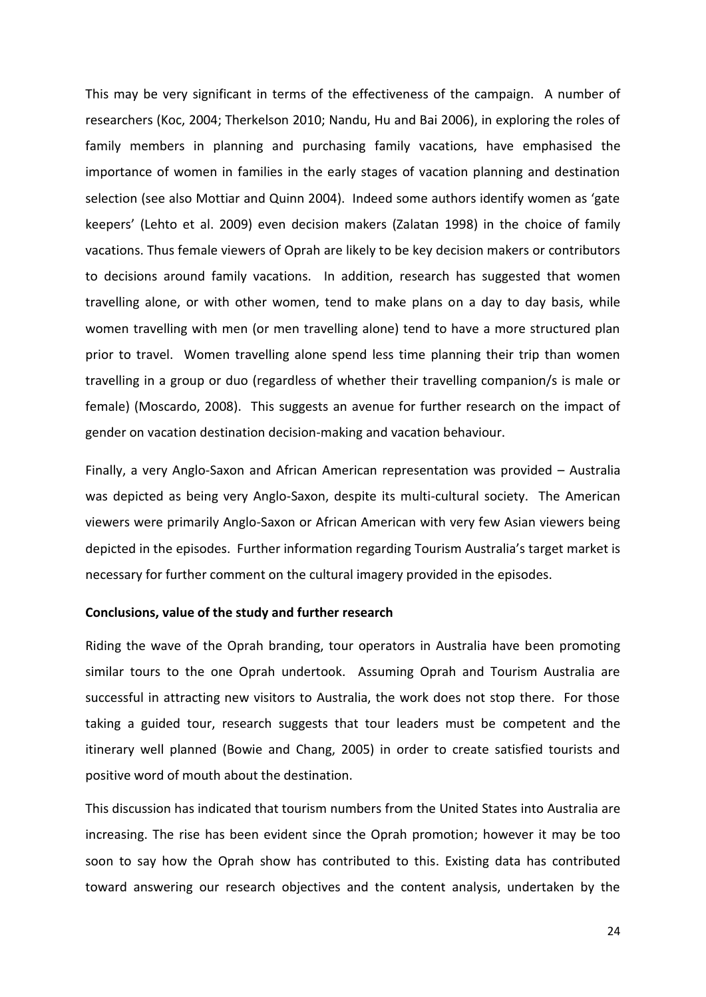This may be very significant in terms of the effectiveness of the campaign. A number of researchers (Koc, 2004; Therkelson 2010; Nandu, Hu and Bai 2006), in exploring the roles of family members in planning and purchasing family vacations, have emphasised the importance of women in families in the early stages of vacation planning and destination selection (see also Mottiar and Quinn 2004). Indeed some authors identify women as 'gate keepers' (Lehto et al. 2009) even decision makers (Zalatan 1998) in the choice of family vacations. Thus female viewers of Oprah are likely to be key decision makers or contributors to decisions around family vacations. In addition, research has suggested that women travelling alone, or with other women, tend to make plans on a day to day basis, while women travelling with men (or men travelling alone) tend to have a more structured plan prior to travel. Women travelling alone spend less time planning their trip than women travelling in a group or duo (regardless of whether their travelling companion/s is male or female) (Moscardo, 2008). This suggests an avenue for further research on the impact of gender on vacation destination decision-making and vacation behaviour.

Finally, a very Anglo-Saxon and African American representation was provided – Australia was depicted as being very Anglo-Saxon, despite its multi-cultural society. The American viewers were primarily Anglo-Saxon or African American with very few Asian viewers being depicted in the episodes. Further information regarding Tourism Australia's target market is necessary for further comment on the cultural imagery provided in the episodes.

#### **Conclusions, value of the study and further research**

Riding the wave of the Oprah branding, tour operators in Australia have been promoting similar tours to the one Oprah undertook. Assuming Oprah and Tourism Australia are successful in attracting new visitors to Australia, the work does not stop there. For those taking a guided tour, research suggests that tour leaders must be competent and the itinerary well planned (Bowie and Chang, 2005) in order to create satisfied tourists and positive word of mouth about the destination.

This discussion has indicated that tourism numbers from the United States into Australia are increasing. The rise has been evident since the Oprah promotion; however it may be too soon to say how the Oprah show has contributed to this. Existing data has contributed toward answering our research objectives and the content analysis, undertaken by the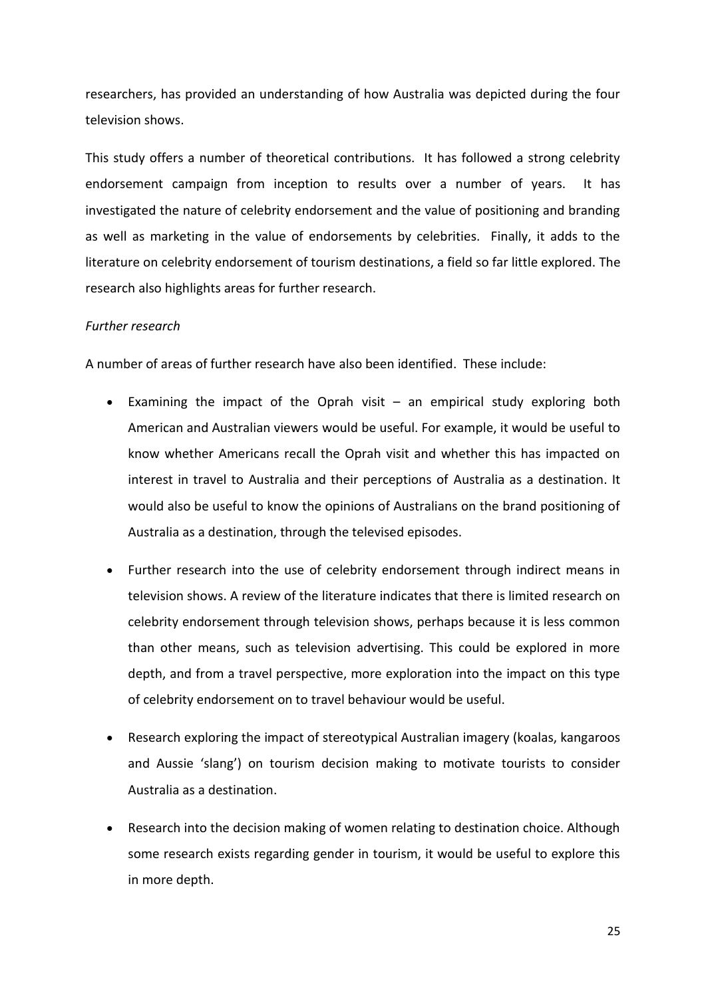researchers, has provided an understanding of how Australia was depicted during the four television shows.

This study offers a number of theoretical contributions. It has followed a strong celebrity endorsement campaign from inception to results over a number of years. It has investigated the nature of celebrity endorsement and the value of positioning and branding as well as marketing in the value of endorsements by celebrities. Finally, it adds to the literature on celebrity endorsement of tourism destinations, a field so far little explored. The research also highlights areas for further research.

### *Further research*

A number of areas of further research have also been identified. These include:

- Examining the impact of the Oprah visit an empirical study exploring both American and Australian viewers would be useful. For example, it would be useful to know whether Americans recall the Oprah visit and whether this has impacted on interest in travel to Australia and their perceptions of Australia as a destination. It would also be useful to know the opinions of Australians on the brand positioning of Australia as a destination, through the televised episodes.
- Further research into the use of celebrity endorsement through indirect means in television shows. A review of the literature indicates that there is limited research on celebrity endorsement through television shows, perhaps because it is less common than other means, such as television advertising. This could be explored in more depth, and from a travel perspective, more exploration into the impact on this type of celebrity endorsement on to travel behaviour would be useful.
- Research exploring the impact of stereotypical Australian imagery (koalas, kangaroos and Aussie 'slang') on tourism decision making to motivate tourists to consider Australia as a destination.
- Research into the decision making of women relating to destination choice. Although some research exists regarding gender in tourism, it would be useful to explore this in more depth.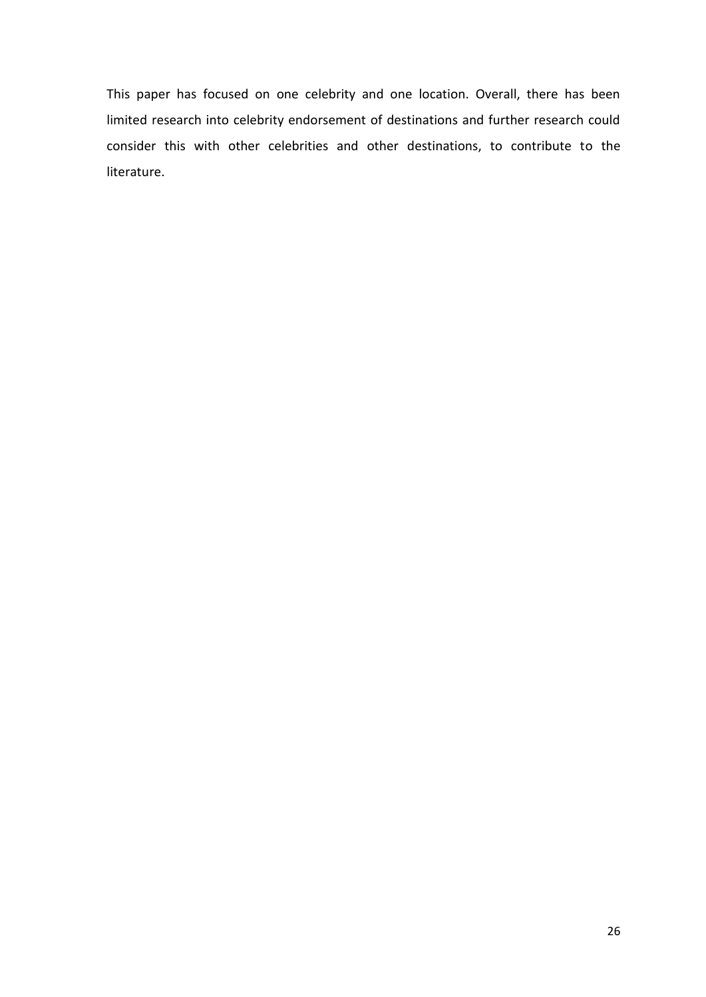This paper has focused on one celebrity and one location. Overall, there has been limited research into celebrity endorsement of destinations and further research could consider this with other celebrities and other destinations, to contribute to the literature.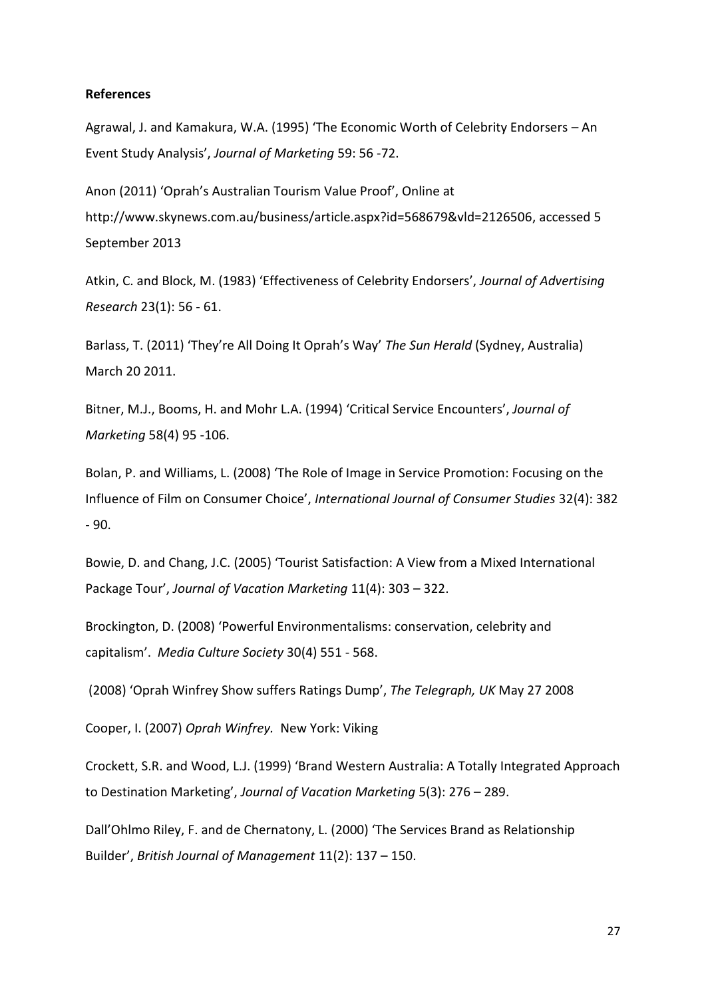### **References**

Agrawal, J. and Kamakura, W.A. (1995) 'The Economic Worth of Celebrity Endorsers – An Event Study Analysis', *Journal of Marketing* 59: 56 -72.

Anon (2011) 'Oprah's Australian Tourism Value Proof', Online at http://www.skynews.com.au/business/article.aspx?id=568679&vld=2126506, accessed 5 September 2013

Atkin, C. and Block, M. (1983) 'Effectiveness of Celebrity Endorsers', *Journal of Advertising Research* 23(1): 56 - 61.

Barlass, T. (2011) 'They're All Doing It Oprah's Way' *The Sun Herald* (Sydney, Australia) March 20 2011.

Bitner, M.J., Booms, H. and Mohr L.A. (1994) 'Critical Service Encounters', *Journal of Marketing* 58(4) 95 -106.

Bolan, P. and Williams, L. (2008) 'The Role of Image in Service Promotion: Focusing on the Influence of Film on Consumer Choice', *International Journal of Consumer Studies* 32(4): 382 - 90.

Bowie, D. and Chang, J.C. (2005) 'Tourist Satisfaction: A View from a Mixed International Package Tour', *Journal of Vacation Marketing* 11(4): 303 – 322.

Brockington, D. (2008) 'Powerful Environmentalisms: conservation, celebrity and capitalism'. *Media Culture Society* 30(4) 551 - 568.

(2008) 'Oprah Winfrey Show suffers Ratings Dump', *The Telegraph, UK* May 27 2008

Cooper, I. (2007) *Oprah Winfrey.* New York: Viking

Crockett, S.R. and Wood, L.J. (1999) 'Brand Western Australia: A Totally Integrated Approach to Destination Marketing', *Journal of Vacation Marketing* 5(3): 276 – 289.

Dall'Ohlmo Riley, F. and de Chernatony, L. (2000) 'The Services Brand as Relationship Builder', *British Journal of Management* 11(2): 137 – 150.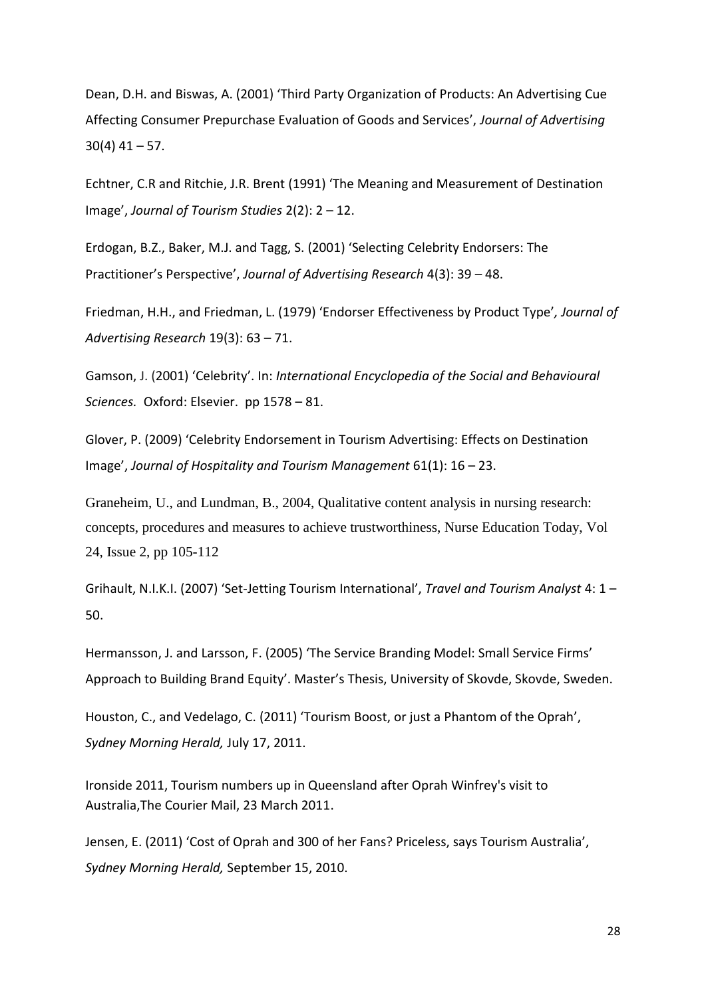Dean, D.H. and Biswas, A. (2001) 'Third Party Organization of Products: An Advertising Cue Affecting Consumer Prepurchase Evaluation of Goods and Services', *Journal of Advertising*  $30(4)$  41 – 57.

Echtner, C.R and Ritchie, J.R. Brent (1991) 'The Meaning and Measurement of Destination Image', *Journal of Tourism Studies* 2(2): 2 – 12.

Erdogan, B.Z., Baker, M.J. and Tagg, S. (2001) 'Selecting Celebrity Endorsers: The Practitioner's Perspective', *Journal of Advertising Research* 4(3): 39 – 48.

Friedman, H.H., and Friedman, L. (1979) 'Endorser Effectiveness by Product Type'*, Journal of Advertising Research* 19(3): 63 – 71.

Gamson, J. (2001) 'Celebrity'. In: *International Encyclopedia of the Social and Behavioural Sciences.* Oxford: Elsevier. pp 1578 – 81.

Glover, P. (2009) 'Celebrity Endorsement in Tourism Advertising: Effects on Destination Image', *Journal of Hospitality and Tourism Management* 61(1): 16 – 23.

Graneheim, U., and Lundman, B., 2004, Qualitative content analysis in nursing research: concepts, procedures and measures to achieve trustworthiness, Nurse Education Today, Vol 24, Issue 2, pp 105-112

Grihault, N.I.K.I. (2007) 'Set-Jetting Tourism International', *Travel and Tourism Analyst* 4: 1 – 50.

Hermansson, J. and Larsson, F. (2005) 'The Service Branding Model: Small Service Firms' Approach to Building Brand Equity'. Master's Thesis, University of Skovde, Skovde, Sweden.

Houston, C., and Vedelago, C. (2011) 'Tourism Boost, or just a Phantom of the Oprah', *Sydney Morning Herald,* July 17, 2011.

Ironside 2011, Tourism numbers up in Queensland after Oprah Winfrey's visit to Australia,The Courier Mail, 23 March 2011.

Jensen, E. (2011) 'Cost of Oprah and 300 of her Fans? Priceless, says Tourism Australia', *Sydney Morning Herald,* September 15, 2010.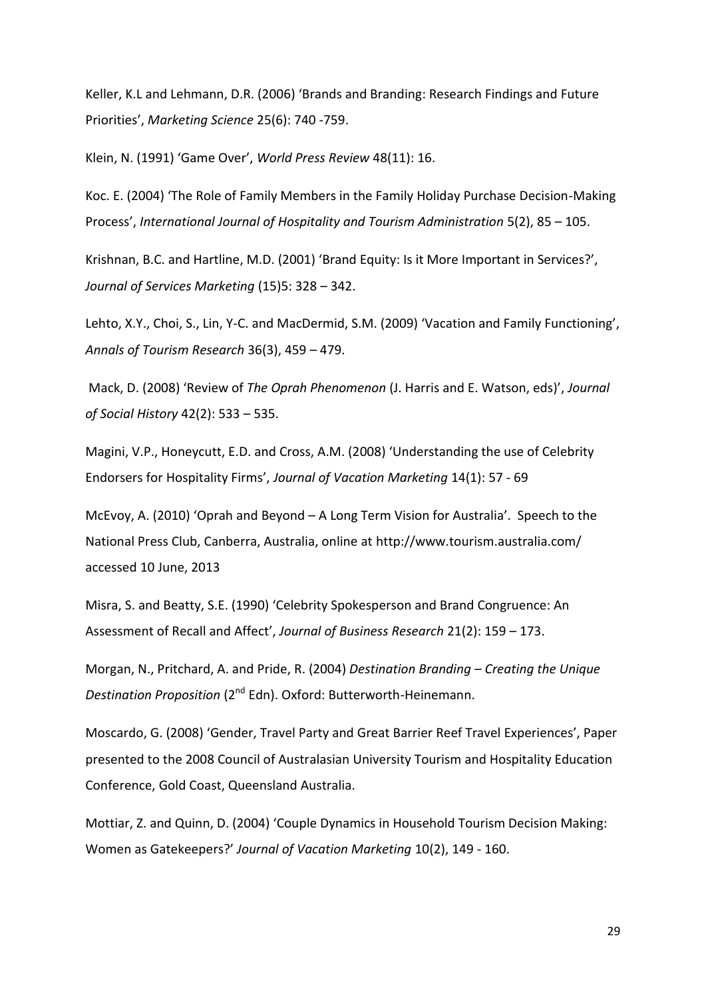Keller, K.L and Lehmann, D.R. (2006) 'Brands and Branding: Research Findings and Future Priorities', *Marketing Science* 25(6): 740 -759.

Klein, N. (1991) 'Game Over', *World Press Review* 48(11): 16.

Koc. E. (2004) 'The Role of Family Members in the Family Holiday Purchase Decision-Making Process', *International Journal of Hospitality and Tourism Administration* 5(2), 85 – 105.

Krishnan, B.C. and Hartline, M.D. (2001) 'Brand Equity: Is it More Important in Services?', *Journal of Services Marketing* (15)5: 328 – 342.

Lehto, X.Y., Choi, S., Lin, Y-C. and MacDermid, S.M. (2009) 'Vacation and Family Functioning', *Annals of Tourism Research* 36(3), 459 – 479.

Mack, D. (2008) 'Review of *The Oprah Phenomenon* (J. Harris and E. Watson, eds)', *Journal of Social History* 42(2): 533 – 535.

Magini, V.P., Honeycutt, E.D. and Cross, A.M. (2008) 'Understanding the use of Celebrity Endorsers for Hospitality Firms', *Journal of Vacation Marketing* 14(1): 57 - 69

McEvoy, A. (2010) 'Oprah and Beyond – A Long Term Vision for Australia'. Speech to the National Press Club, Canberra, Australia, online at http://www.tourism.australia.com/ accessed 10 June, 2013

Misra, S. and Beatty, S.E. (1990) 'Celebrity Spokesperson and Brand Congruence: An Assessment of Recall and Affect', *Journal of Business Research* 21(2): 159 – 173.

Morgan, N., Pritchard, A. and Pride, R. (2004) *Destination Branding – Creating the Unique Destination Proposition* (2nd Edn). Oxford: Butterworth-Heinemann.

Moscardo, G. (2008) 'Gender, Travel Party and Great Barrier Reef Travel Experiences', Paper presented to the 2008 Council of Australasian University Tourism and Hospitality Education Conference, Gold Coast, Queensland Australia.

Mottiar, Z. and Quinn, D. (2004) 'Couple Dynamics in Household Tourism Decision Making: Women as Gatekeepers?' *Journal of Vacation Marketing* 10(2), 149 - 160.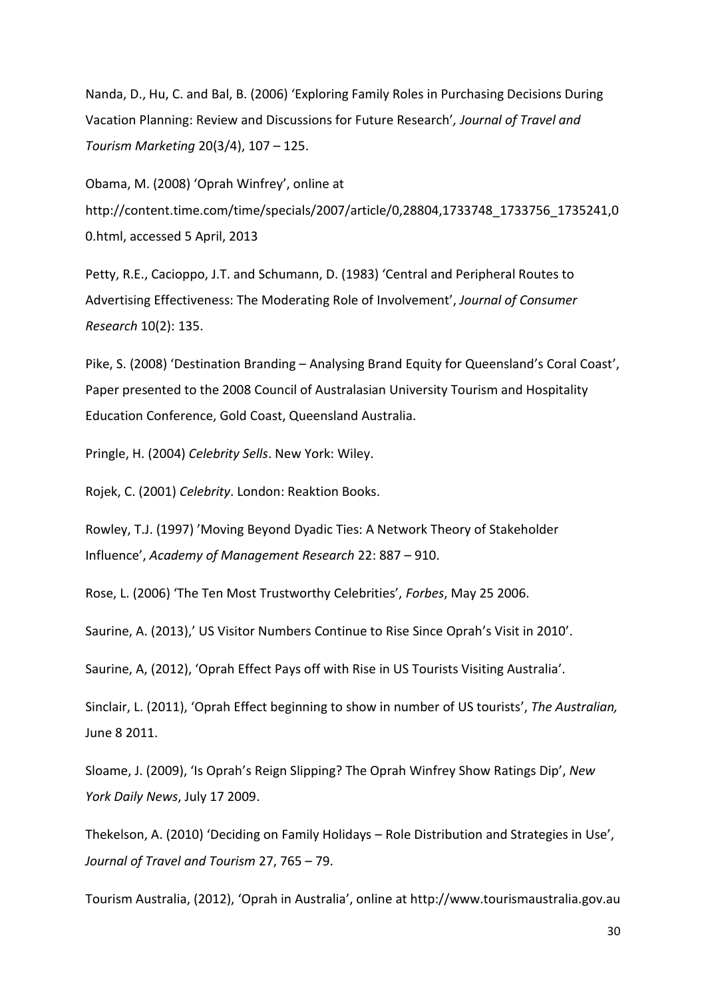Nanda, D., Hu, C. and Bal, B. (2006) 'Exploring Family Roles in Purchasing Decisions During Vacation Planning: Review and Discussions for Future Research'*, Journal of Travel and Tourism Marketing* 20(3/4), 107 – 125.

Obama, M. (2008) 'Oprah Winfrey', online at http://content.time.com/time/specials/2007/article/0,28804,1733748\_1733756\_1735241,0 0.html, accessed 5 April, 2013

Petty, R.E., Cacioppo, J.T. and Schumann, D. (1983) 'Central and Peripheral Routes to Advertising Effectiveness: The Moderating Role of Involvement', *Journal of Consumer Research* 10(2): 135.

Pike, S. (2008) 'Destination Branding – Analysing Brand Equity for Queensland's Coral Coast', Paper presented to the 2008 Council of Australasian University Tourism and Hospitality Education Conference, Gold Coast, Queensland Australia.

Pringle, H. (2004) *Celebrity Sells*. New York: Wiley.

Rojek, C. (2001) *Celebrity*. London: Reaktion Books.

Rowley, T.J. (1997) 'Moving Beyond Dyadic Ties: A Network Theory of Stakeholder Influence', *Academy of Management Research* 22: 887 – 910.

Rose, L. (2006) 'The Ten Most Trustworthy Celebrities', *Forbes*, May 25 2006.

Saurine, A. (2013),' US Visitor Numbers Continue to Rise Since Oprah's Visit in 2010'.

Saurine, A, (2012), 'Oprah Effect Pays off with Rise in US Tourists Visiting Australia'.

Sinclair, L. (2011), 'Oprah Effect beginning to show in number of US tourists', *The Australian,* June 8 2011.

Sloame, J. (2009), 'Is Oprah's Reign Slipping? The Oprah Winfrey Show Ratings Dip', *New York Daily News*, July 17 2009.

Thekelson, A. (2010) 'Deciding on Family Holidays – Role Distribution and Strategies in Use', *Journal of Travel and Tourism* 27, 765 – 79.

Tourism Australia, (2012), 'Oprah in Australia', online at http://www.tourismaustralia.gov.au